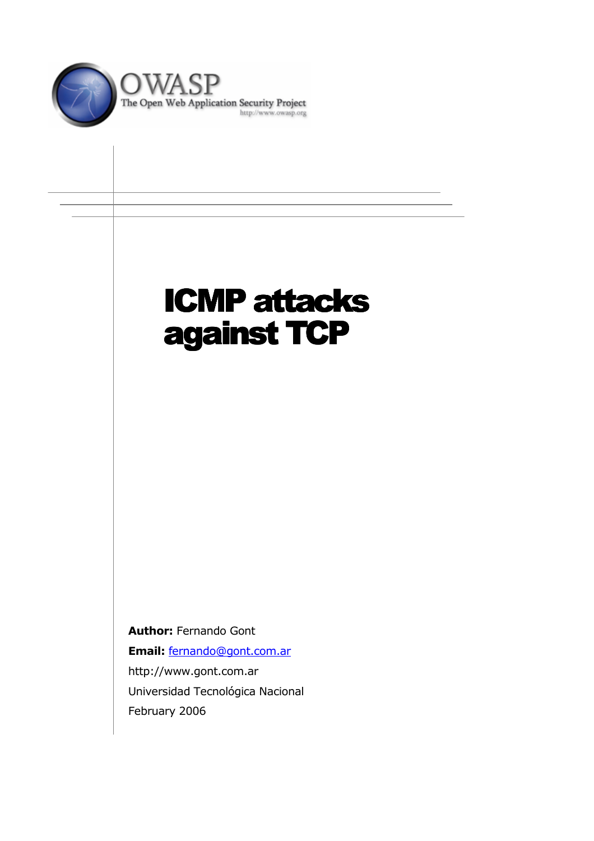

# **ICMP attacks** against TCP

**Author: Fernando Gont** Email: fernando@gont.com.ar http://www.gont.com.ar Universidad Tecnológica Nacional February 2006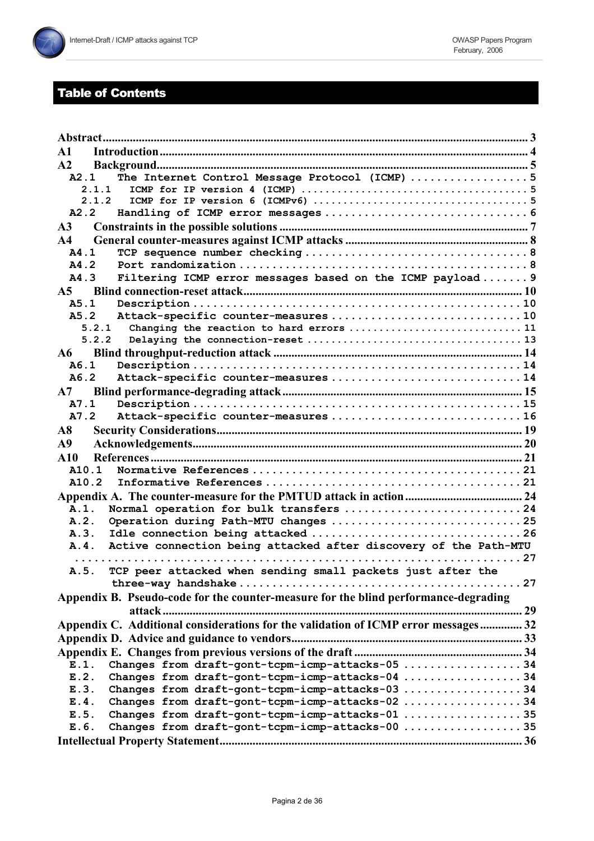# **Table of Contents**

| $\mathbf{A}$ 1                                                                      |  |
|-------------------------------------------------------------------------------------|--|
| A2                                                                                  |  |
| The Internet Control Message Protocol (ICMP) 5<br>A2.1                              |  |
| 2.1.1                                                                               |  |
| 2.1.2                                                                               |  |
| A2.2                                                                                |  |
| A <sub>3</sub>                                                                      |  |
| A <sub>4</sub>                                                                      |  |
| A4.1                                                                                |  |
| A4.2                                                                                |  |
| Filtering ICMP error messages based on the ICMP payload 9<br>A4.3                   |  |
|                                                                                     |  |
| A5.1                                                                                |  |
| Attack-specific counter-measures10<br>A5.2                                          |  |
| Changing the reaction to hard errors  11<br>5.2.1                                   |  |
| 5.2.2                                                                               |  |
| ${\bf A6}$                                                                          |  |
| A6.1                                                                                |  |
| A6.2<br>Attack-specific counter-measures 14                                         |  |
| A7                                                                                  |  |
| A7.1                                                                                |  |
| A7.2<br>Attack-specific counter-measures 16                                         |  |
| $\bf{A8}$                                                                           |  |
| A9                                                                                  |  |
| A10                                                                                 |  |
| A10.1                                                                               |  |
| A10.2                                                                               |  |
|                                                                                     |  |
| Normal operation for bulk transfers 24<br>A.1.                                      |  |
| Operation during Path-MTU changes 25<br>A.2.                                        |  |
| A.3.                                                                                |  |
| Active connection being attacked after discovery of the Path-MTU<br>A.4.            |  |
|                                                                                     |  |
| TCP peer attacked when sending small packets just after the<br>A.5.                 |  |
|                                                                                     |  |
| Appendix B. Pseudo-code for the counter-measure for the blind performance-degrading |  |
| attack.                                                                             |  |
| Appendix C. Additional considerations for the validation of ICMP error messages 32  |  |
|                                                                                     |  |
|                                                                                     |  |
| Changes from draft-gont-tcpm-icmp-attacks-05 34<br>E.1.                             |  |
| Changes from draft-gont-tcpm-icmp-attacks-04 34<br>E.2.                             |  |
| Changes from draft-gont-tcpm-icmp-attacks-03 34<br>E.3.                             |  |
| Changes from draft-gont-tcpm-icmp-attacks-02 34<br>E.4.                             |  |
| Changes from draft-gont-tcpm-icmp-attacks-01 35<br>E.5.                             |  |
| Changes from draft-gont-tcpm-icmp-attacks-00 35<br>E.6.                             |  |
|                                                                                     |  |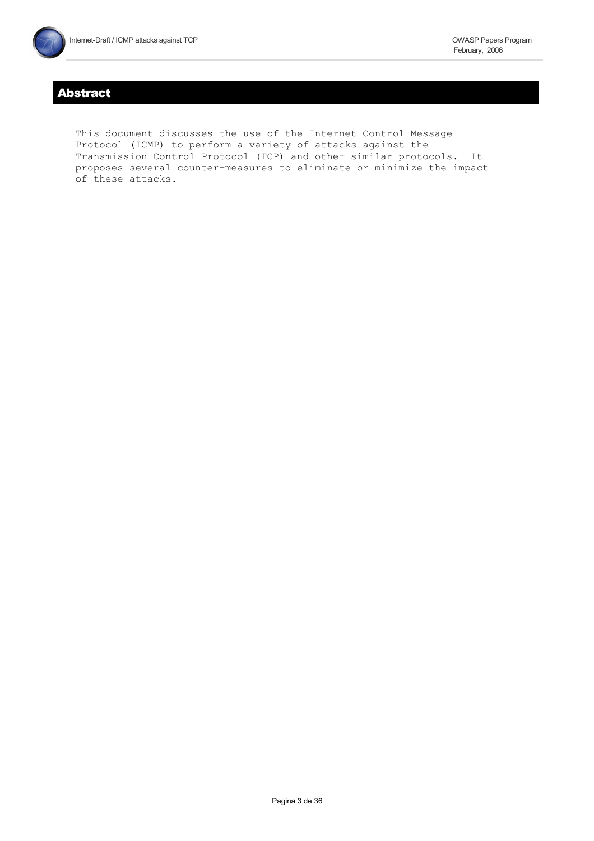# **Abstract**

This document discusses the use of the Internet Control Message Protocol (ICMP) to perform a variety of attacks against the Transmission Control Protocol (TCP) and other similar protocols. It proposes several counter-measures to eliminate or minimize the impact of these attacks.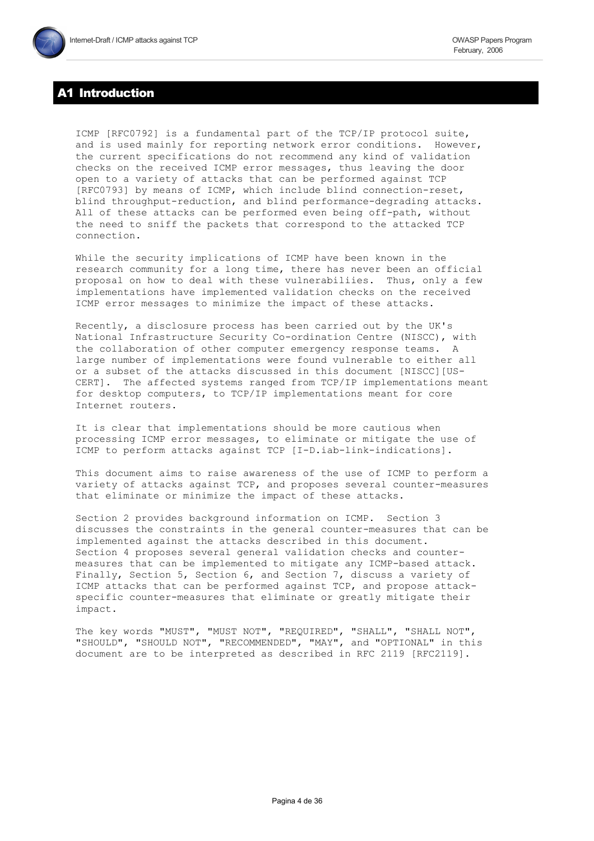# 1 Introduction

ICMP [RFC0792] is a fundamental part of the TCP/IP protocol suite, and is used mainly for reporting network error conditions. However, the current specifications do not recommend any kind of validation checks on the received ICMP error messages, thus leaving the door open to a variety of attacks that can be performed against TCP [RFC0793] by means of ICMP, which include blind connection-reset, blind throughput-reduction, and blind performance-degrading attacks. All of these attacks can be performed even being off-path, without the need to sniff the packets that correspond to the attacked TCP connection.

While the security implications of ICMP have been known in the research community for a long time, there has never been an official proposal on how to deal with these vulnerabiliies. Thus, only a few implementations have implemented validation checks on the received ICMP error messages to minimize the impact of these attacks.

Recently, a disclosure process has been carried out by the UK's National Infrastructure Security Co-ordination Centre (NISCC), with the collaboration of other computer emergency response teams. A large number of implementations were found vulnerable to either all or a subset of the attacks discussed in this document [NISCC] [US-CERT]. The affected systems ranged from TCP/IP implementations meant for desktop computers, to TCP/IP implementations meant for core Internet routers.

It is clear that implementations should be more cautious when processing ICMP error messages, to eliminate or mitigate the use of ICMP to perform attacks against TCP [I-D.iab-link-indications].

This document aims to raise awareness of the use of ICMP to perform a variety of attacks against TCP, and proposes several counter-measures that eliminate or minimize the impact of these attacks.

Section 2 provides background information on ICMP. Section 3 discusses the constraints in the general counter-measures that can be implemented against the attacks described in this document. Section 4 proposes several general validation checks and countermeasures that can be implemented to mitigate any ICMP-based attack. Finally, Section 5, Section 6, and Section 7, discuss a variety of ICMP attacks that can be performed against TCP, and propose attackspecific counter-measures that eliminate or greatly mitigate their impact.

The key words "MUST", "MUST NOT", "REQUIRED", "SHALL", "SHALL NOT", "SHOULD", "SHOULD NOT", "RECOMMENDED", "MAY", and "OPTIONAL" in this document are to be interpreted as described in RFC 2119 [RFC2119].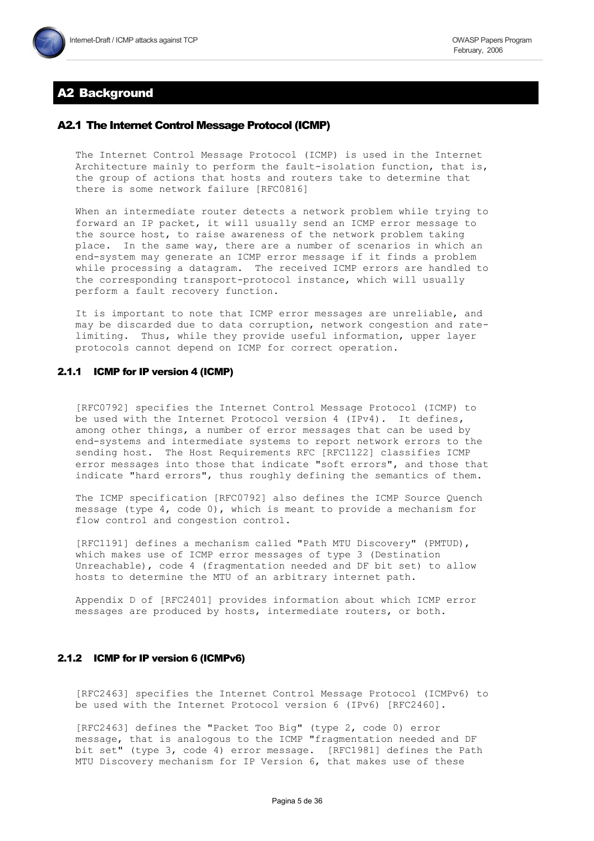

# **A2 Background**

## A2.1 The Internet Control Message Protocol (ICMP)

The Internet Control Message Protocol (ICMP) is used in the Internet Architecture mainly to perform the fault-isolation function, that is, the group of actions that hosts and routers take to determine that there is some network failure [RFC0816]

When an intermediate router detects a network problem while trying to forward an IP packet, it will usually send an ICMP error message to the source host, to raise awareness of the network problem taking place. In the same way, there are a number of scenarios in which an end-system may generate an ICMP error message if it finds a problem while processing a datagram. The received ICMP errors are handled to the corresponding transport-protocol instance, which will usually perform a fault recovery function.

It is important to note that ICMP error messages are unreliable, and may be discarded due to data corruption, network congestion and ratelimiting. Thus, while they provide useful information, upper layer protocols cannot depend on ICMP for correct operation.

#### 2.1.1 ICMP for IP version 4 (ICMP)

[RFC0792] specifies the Internet Control Message Protocol (ICMP) to be used with the Internet Protocol version 4 (IPv4). It defines, among other things, a number of error messages that can be used by end-systems and intermediate systems to report network errors to the sending host. The Host Requirements RFC [RFC1122] classifies ICMP error messages into those that indicate "soft errors", and those that indicate "hard errors", thus roughly defining the semantics of them.

The ICMP specification [RFC0792] also defines the ICMP Source Quench message (type 4, code 0), which is meant to provide a mechanism for flow control and congestion control.

[RFC1191] defines a mechanism called "Path MTU Discovery" (PMTUD), which makes use of ICMP error messages of type 3 (Destination Unreachable), code 4 (fragmentation needed and DF bit set) to allow hosts to determine the MTU of an arbitrary internet path.

Appendix D of [RFC2401] provides information about which ICMP error messages are produced by hosts, intermediate routers, or both.

#### 2.1.2 ICMP for IP version 6 (ICMPv6)

[RFC2463] specifies the Internet Control Message Protocol (ICMPv6) to be used with the Internet Protocol version 6 (IPv6) [RFC2460].

[RFC2463] defines the "Packet Too Big" (type 2, code 0) error message, that is analogous to the ICMP "fragmentation needed and DF bit set" (type 3, code 4) error message. [RFC1981] defines the Path MTU Discovery mechanism for IP Version  $6$ , that makes use of these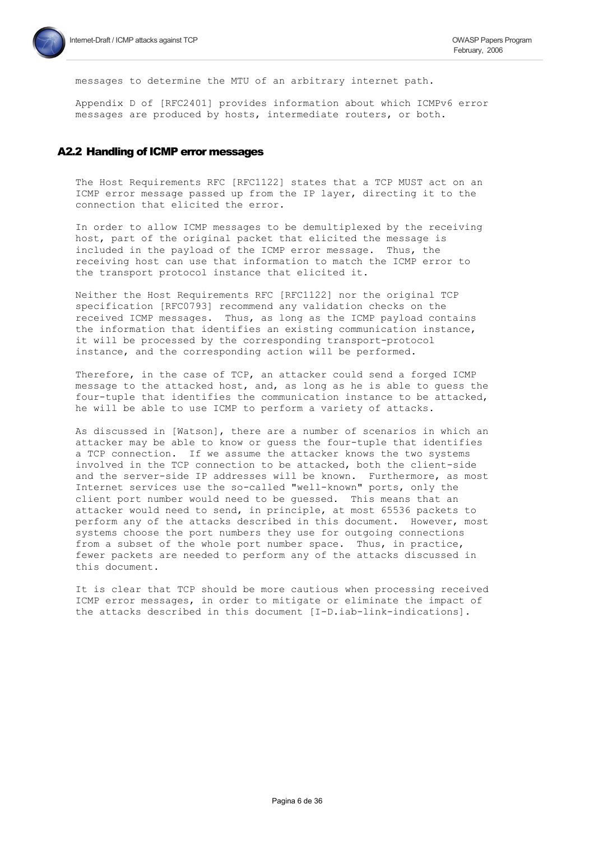messages to determine the MTU of an arbitrary internet path.

Appendix D of [RFC2401] provides information about which ICMPv6 error messages are produced by hosts, intermediate routers, or both.

## A2.2 Handling of ICMP error messages

The Host Requirements RFC [RFC1122] states that a TCP MUST act on an ICMP error message passed up from the IP layer, directing it to the connection that elicited the error.

In order to allow ICMP messages to be demultiplexed by the receiving host, part of the original packet that elicited the message is included in the payload of the ICMP error message. Thus, the receiving host can use that information to match the ICMP error to the transport protocol instance that elicited it.

Neither the Host Requirements RFC [RFC1122] nor the original TCP specification [RFC0793] recommend any validation checks on the received ICMP messages. Thus, as long as the ICMP payload contains the information that identifies an existing communication instance, it will be processed by the corresponding transport-protocol instance, and the corresponding action will be performed.

Therefore, in the case of TCP, an attacker could send a forged ICMP message to the attacked host, and, as long as he is able to guess the four-tuple that identifies the communication instance to be attacked, he will be able to use ICMP to perform a variety of attacks.

As discussed in [Watson], there are a number of scenarios in which an attacker may be able to know or guess the four-tuple that identifies a TCP connection. If we assume the attacker knows the two systems involved in the TCP connection to be attacked, both the client-side and the server-side IP addresses will be known. Furthermore, as most Internet services use the so-called "well-known" ports, only the client port number would need to be guessed. This means that an attacker would need to send, in principle, at most 65536 packets to perform any of the attacks described in this document. However, most systems choose the port numbers they use for outgoing connections from a subset of the whole port number space. Thus, in practice, fewer packets are needed to perform any of the attacks discussed in this document.

It is clear that TCP should be more cautious when processing received ICMP error messages, in order to mitigate or eliminate the impact of the attacks described in this document [I-D.iab-link-indications].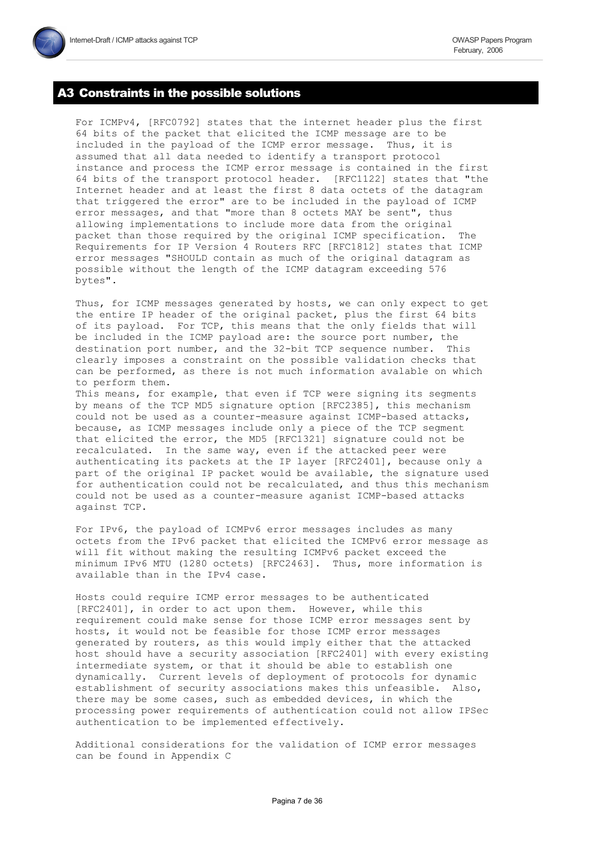# **A3 Constraints in the possible solutions**

For ICMPv4, [RFC0792] states that the internet header plus the first 64 bits of the packet that elicited the ICMP message are to be included in the payload of the ICMP error message. Thus, it is assumed that all data needed to identify a transport protocol instance and process the ICMP error message is contained in the first 64 bits of the transport protocol header. [RFC1122] states that "the Internet header and at least the first 8 data octets of the datagram that triggered the error" are to be included in the payload of ICMP error messages, and that "more than 8 octets MAY be sent", thus allowing implementations to include more data from the original packet than those required by the original ICMP specification. The Requirements for IP Version 4 Routers RFC [RFC1812] states that ICMP error messages "SHOULD contain as much of the original datagram as possible without the length of the ICMP datagram exceeding 576 bytes".

Thus, for ICMP messages generated by hosts, we can only expect to get the entire IP header of the original packet, plus the first 64 bits of its payload. For TCP, this means that the only fields that will be included in the ICMP payload are: the source port number, the destination port number, and the 32-bit TCP sequence number. This clearly imposes a constraint on the possible validation checks that can be performed, as there is not much information avalable on which to perform them.

This means, for example, that even if TCP were signing its segments by means of the TCP MD5 signature option [RFC2385], this mechanism could not be used as a counter-measure against ICMP-based attacks, because, as ICMP messages include only a piece of the TCP segment that elicited the error, the MD5 [RFC1321] signature could not be recalculated. In the same way, even if the attacked peer were authenticating its packets at the IP layer [RFC2401], because only a part of the original IP packet would be available, the signature used for authentication could not be recalculated, and thus this mechanism could not be used as a counter-measure aganist ICMP-based attacks against TCP.

For IPv6, the payload of ICMPv6 error messages includes as many octets from the IPv6 packet that elicited the ICMPv6 error message as will fit without making the resulting ICMPv6 packet exceed the minimum IPv6 MTU (1280 octets) [RFC2463]. Thus, more information is available than in the IPv4 case.

Hosts could require ICMP error messages to be authenticated [RFC2401], in order to act upon them. However, while this requirement could make sense for those ICMP error messages sent by hosts, it would not be feasible for those ICMP error messages generated by routers, as this would imply either that the attacked host should have a security association [RFC2401] with every existing intermediate system, or that it should be able to establish one dynamically. Current levels of deployment of protocols for dynamic establishment of security associations makes this unfeasible. Also, there may be some cases, such as embedded devices, in which the processing power requirements of authentication could not allow IPSec authentication to be implemented effectively.

Additional considerations for the validation of ICMP error messages can be found in Appendix C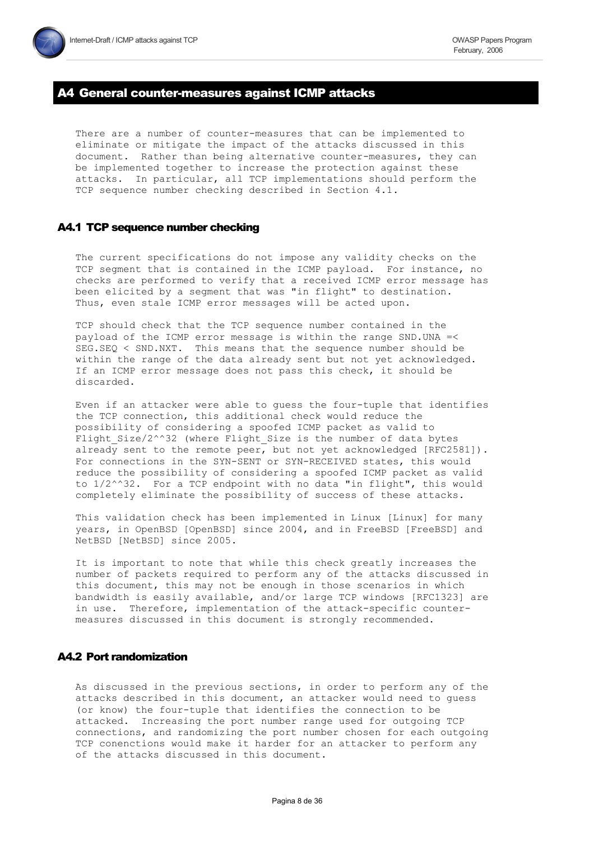# **44 General counter-measures against ICMP attacks**

There are a number of counter-measures that can be implemented to eliminate or mitigate the impact of the attacks discussed in this document. Rather than being alternative counter-measures, they can be implemented together to increase the protection against these attacks. In particular, all TCP implementations should perform the TCP sequence number checking described in Section 4.1.

#### A4.1 TCP sequence number checking

The current specifications do not impose any validity checks on the TCP segment that is contained in the ICMP payload. For instance, no checks are performed to verify that a received ICMP error message has been elicited by a segment that was "in flight" to destination. Thus, even stale ICMP error messages will be acted upon.

TCP should check that the TCP sequence number contained in the payload of the ICMP error message is within the range SND. UNA =< SEG.SEQ < SND.NXT. This means that the sequence number should be within the range of the data already sent but not yet acknowledged. If an ICMP error message does not pass this check, it should be discarded.

Even if an attacker were able to guess the four-tuple that identifies the TCP connection, this additional check would reduce the possibility of considering a spoofed ICMP packet as valid to Flight Size/2^^32 (where Flight\_Size is the number of data bytes already sent to the remote peer, but not yet acknowledged [RFC2581]). For connections in the SYN-SENT or SYN-RECEIVED states, this would reduce the possibility of considering a spoofed ICMP packet as valid to 1/2^^32. For a TCP endpoint with no data "in flight", this would completely eliminate the possibility of success of these attacks.

This validation check has been implemented in Linux [Linux] for many years, in OpenBSD [OpenBSD] since 2004, and in FreeBSD [FreeBSD] and NetBSD [NetBSD] since 2005.

It is important to note that while this check greatly increases the number of packets required to perform any of the attacks discussed in this document, this may not be enough in those scenarios in which bandwidth is easily available, and/or large TCP windows [RFC1323] are in use. Therefore, implementation of the attack-specific countermeasures discussed in this document is strongly recommended.

## **A4.2 Port randomization**

As discussed in the previous sections, in order to perform any of the attacks described in this document, an attacker would need to guess (or know) the four-tuple that identifies the connection to be attacked. Increasing the port number range used for outgoing TCP connections, and randomizing the port number chosen for each outgoing TCP conenctions would make it harder for an attacker to perform any of the attacks discussed in this document.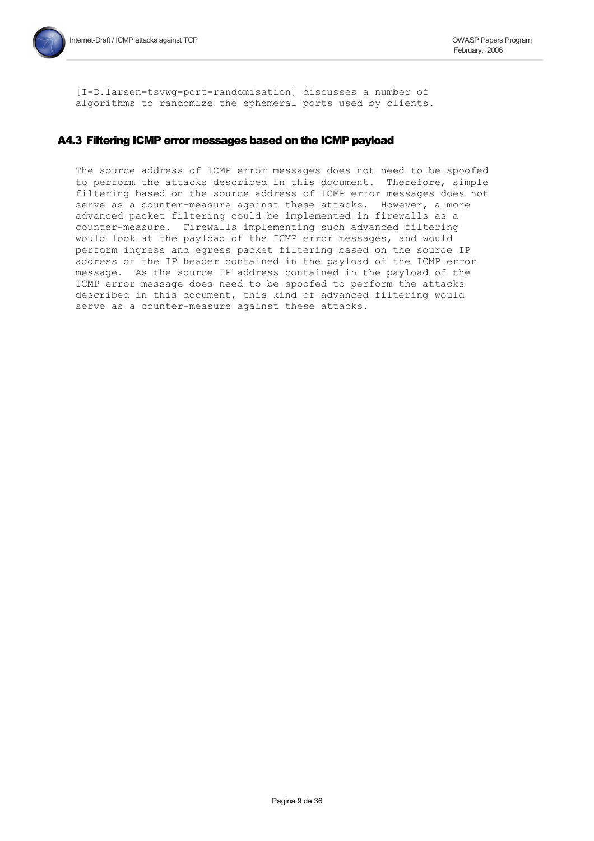[I-D.larsen-tsvwq-port-randomisation] discusses a number of algorithms to randomize the ephemeral ports used by clients.

# A4.3 Filtering ICMP error messages based on the ICMP payload

The source address of ICMP error messages does not need to be spoofed to perform the attacks described in this document. Therefore, simple filtering based on the source address of ICMP error messages does not serve as a counter-measure against these attacks. However, a more advanced packet filtering could be implemented in firewalls as a counter-measure. Firewalls implementing such advanced filtering would look at the payload of the ICMP error messages, and would perform ingress and egress packet filtering based on the source IP address of the IP header contained in the payload of the ICMP error message. As the source IP address contained in the payload of the ICMP error message does need to be spoofed to perform the attacks described in this document, this kind of advanced filtering would serve as a counter-measure against these attacks.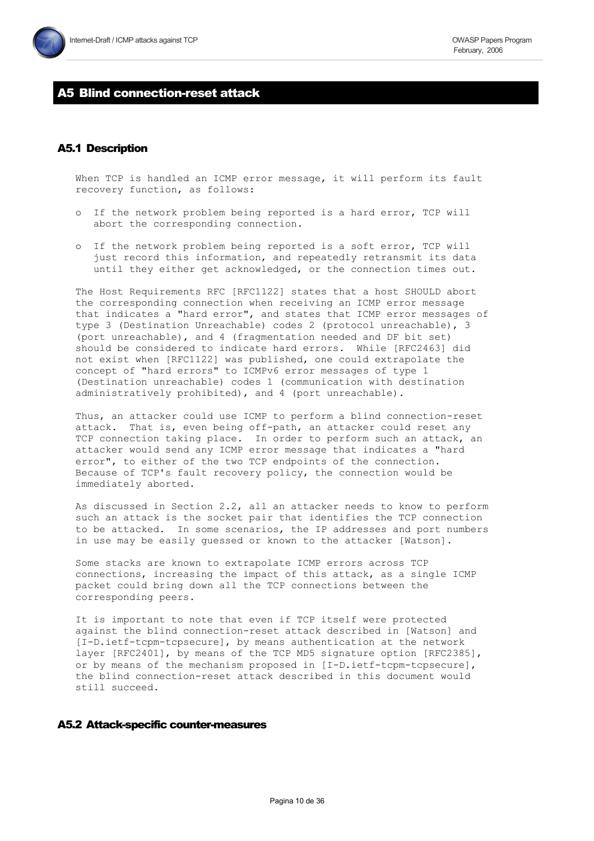# **A5 Blind connection-reset attack**

# **A5.1 Description**

When TCP is handled an ICMP error message, it will perform its fault recovery function, as follows:

- o If the network problem being reported is a hard error, TCP will abort the corresponding connection.
- If the network problem being reported is a soft error, TCP will  $\circ$ just record this information, and repeatedly retransmit its data until they either get acknowledged, or the connection times out.

The Host Requirements RFC [RFC1122] states that a host SHOULD abort the corresponding connection when receiving an ICMP error message that indicates a "hard error", and states that ICMP error messages of type 3 (Destination Unreachable) codes 2 (protocol unreachable), 3 (port unreachable), and 4 (fragmentation needed and DF bit set) should be considered to indicate hard errors. While [RFC2463] did not exist when [RFC1122] was published, one could extrapolate the concept of "hard errors" to ICMPv6 error messages of type 1 (Destination unreachable) codes 1 (communication with destination administratively prohibited), and 4 (port unreachable).

Thus, an attacker could use ICMP to perform a blind connection-reset attack. That is, even being off-path, an attacker could reset any TCP connection taking place. In order to perform such an attack, an attacker would send any ICMP error message that indicates a "hard error", to either of the two TCP endpoints of the connection. Because of TCP's fault recovery policy, the connection would be immediately aborted.

As discussed in Section 2.2, all an attacker needs to know to perform such an attack is the socket pair that identifies the TCP connection to be attacked. In some scenarios, the IP addresses and port numbers in use may be easily guessed or known to the attacker [Watson].

Some stacks are known to extrapolate ICMP errors across TCP connections, increasing the impact of this attack, as a single ICMP packet could bring down all the TCP connections between the corresponding peers.

It is important to note that even if TCP itself were protected against the blind connection-reset attack described in [Watson] and [I-D.ietf-tcpm-tcpsecure], by means authentication at the network layer [RFC2401], by means of the TCP MD5 signature option [RFC2385], or by means of the mechanism proposed in [I-D.ietf-tcpm-tcpsecure], the blind connection-reset attack described in this document would still succeed.

## A5.2 Attack-specific counter-measures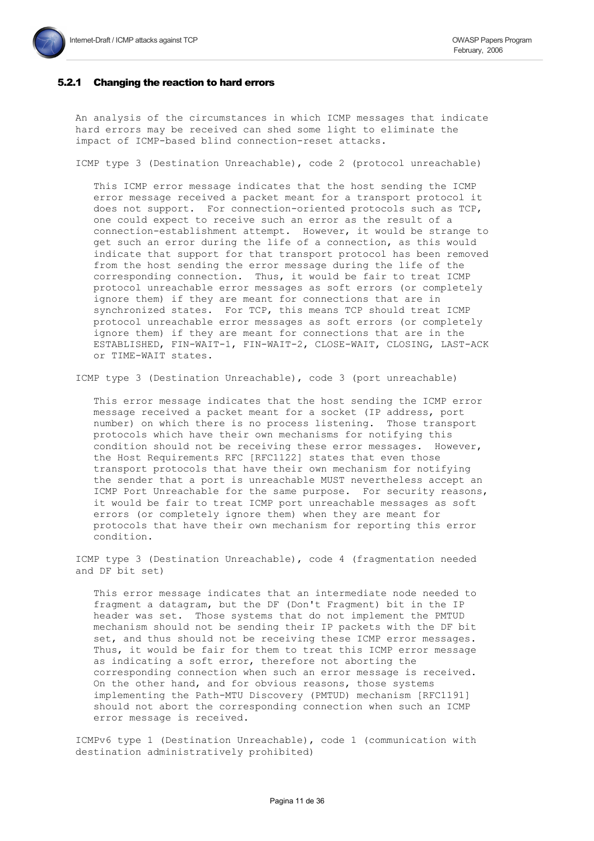#### 5.2.1 Changing the reaction to hard errors

An analysis of the circumstances in which ICMP messages that indicate hard errors may be received can shed some light to eliminate the impact of ICMP-based blind connection-reset attacks.

ICMP type 3 (Destination Unreachable), code 2 (protocol unreachable)

This ICMP error message indicates that the host sending the ICMP error message received a packet meant for a transport protocol it does not support. For connection-oriented protocols such as TCP, one could expect to receive such an error as the result of a connection-establishment attempt. However, it would be strange to get such an error during the life of a connection, as this would indicate that support for that transport protocol has been removed from the host sending the error message during the life of the corresponding connection. Thus, it would be fair to treat ICMP protocol unreachable error messages as soft errors (or completely ignore them) if they are meant for connections that are in synchronized states. For TCP, this means TCP should treat ICMP protocol unreachable error messages as soft errors (or completely ignore them) if they are meant for connections that are in the ESTABLISHED, FIN-WAIT-1, FIN-WAIT-2, CLOSE-WAIT, CLOSING, LAST-ACK or TIME-WAIT states.

ICMP type 3 (Destination Unreachable), code 3 (port unreachable)

This error message indicates that the host sending the ICMP error message received a packet meant for a socket (IP address, port number) on which there is no process listening. Those transport protocols which have their own mechanisms for notifying this condition should not be receiving these error messages. However, the Host Requirements RFC [RFC1122] states that even those transport protocols that have their own mechanism for notifying the sender that a port is unreachable MUST nevertheless accept an ICMP Port Unreachable for the same purpose. For security reasons, it would be fair to treat ICMP port unreachable messages as soft errors (or completely ignore them) when they are meant for protocols that have their own mechanism for reporting this error condition.

ICMP type 3 (Destination Unreachable), code 4 (fragmentation needed and DF bit set)

This error message indicates that an intermediate node needed to fragment a datagram, but the DF (Don't Fragment) bit in the IP header was set. Those systems that do not implement the PMTUD mechanism should not be sending their IP packets with the DF bit set, and thus should not be receiving these ICMP error messages. Thus, it would be fair for them to treat this ICMP error message as indicating a soft error, therefore not aborting the corresponding connection when such an error message is received. On the other hand, and for obvious reasons, those systems implementing the Path-MTU Discovery (PMTUD) mechanism [RFC1191] should not abort the corresponding connection when such an ICMP error message is received.

ICMPv6 type 1 (Destination Unreachable), code 1 (communication with destination administratively prohibited)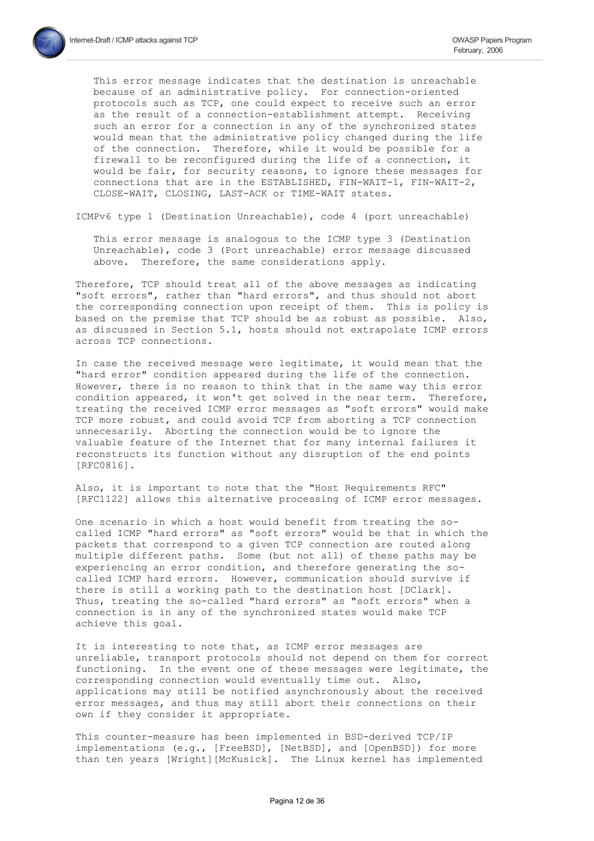This error message indicates that the destination is unreachable because of an administrative policy. For connection-oriented protocols such as TCP, one could expect to receive such an error as the result of a connection-establishment attempt. Receiving such an error for a connection in any of the synchronized states would mean that the administrative policy changed during the life of the connection. Therefore, while it would be possible for a firewall to be reconfigured during the life of a connection, it would be fair, for security reasons, to ignore these messages for connections that are in the ESTABLISHED, FIN-WAIT-1, FIN-WAIT-2, CLOSE-WAIT, CLOSING, LAST-ACK or TIME-WAIT states.

ICMPv6 type 1 (Destination Unreachable), code 4 (port unreachable)

This error message is analogous to the ICMP type 3 (Destination Unreachable), code 3 (Port unreachable) error message discussed above. Therefore, the same considerations apply.

Therefore, TCP should treat all of the above messages as indicating "soft errors", rather than "hard errors", and thus should not abort the corresponding connection upon receipt of them. This is policy is based on the premise that TCP should be as robust as possible. Also, as discussed in Section 5.1, hosts should not extrapolate ICMP errors across TCP connections.

In case the received message were legitimate, it would mean that the "hard error" condition appeared during the life of the connection. However, there is no reason to think that in the same way this error condition appeared, it won't get solved in the near term. Therefore, treating the received ICMP error messages as "soft errors" would make TCP more robust, and could avoid TCP from aborting a TCP connection unnecesarily. Aborting the connection would be to ignore the valuable feature of the Internet that for many internal failures it reconstructs its function without any disruption of the end points [RFC0816].

Also, it is important to note that the "Host Requirements RFC" [RFC1122] allows this alternative processing of ICMP error messages.

One scenario in which a host would benefit from treating the socalled ICMP "hard errors" as "soft errors" would be that in which the packets that correspond to a given TCP connection are routed along multiple different paths. Some (but not all) of these paths may be experiencing an error condition, and therefore generating the socalled ICMP hard errors. However, communication should survive if there is still a working path to the destination host [DClark]. Thus, treating the so-called "hard errors" as "soft errors" when a connection is in any of the synchronized states would make TCP achieve this goal.

It is interesting to note that, as ICMP error messages are unreliable, transport protocols should not depend on them for correct functioning. In the event one of these messages were legitimate, the corresponding connection would eventually time out. Also, applications may still be notified asynchronously about the received error messages, and thus may still abort their connections on their own if they consider it appropriate.

This counter-measure has been implemented in BSD-derived TCP/IP implementations (e.g., [FreeBSD], [NetBSD], and [OpenBSD]) for more than ten years [Wright] [McKusick]. The Linux kernel has implemented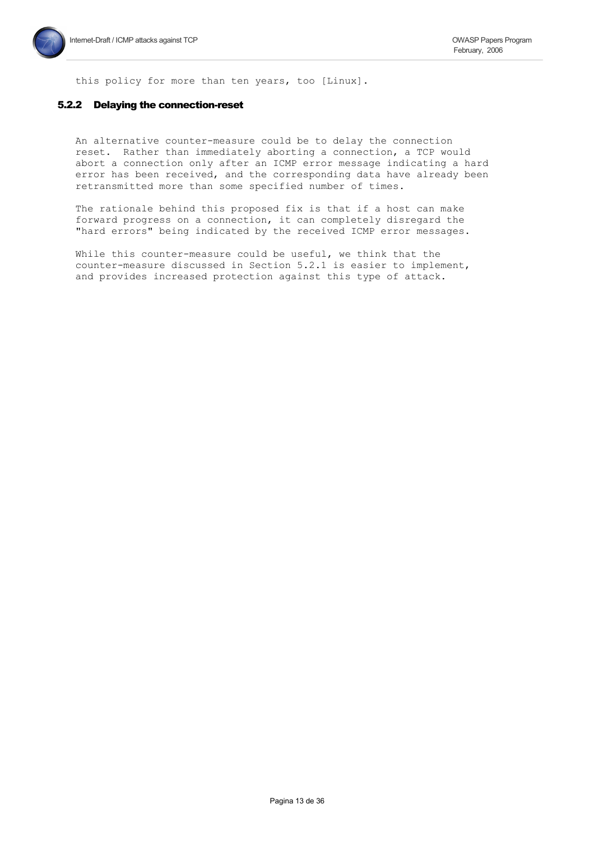this policy for more than ten years, too [Linux].

#### 5.2.2 Delaying the connection-reset

An alternative counter-measure could be to delay the connection reset. Rather than immediately aborting a connection, a TCP would abort a connection only after an ICMP error message indicating a hard error has been received, and the corresponding data have already been retransmitted more than some specified number of times.

The rationale behind this proposed fix is that if a host can make forward progress on a connection, it can completely disregard the "hard errors" being indicated by the received ICMP error messages.

While this counter-measure could be useful, we think that the counter-measure discussed in Section 5.2.1 is easier to implement, and provides increased protection against this type of attack.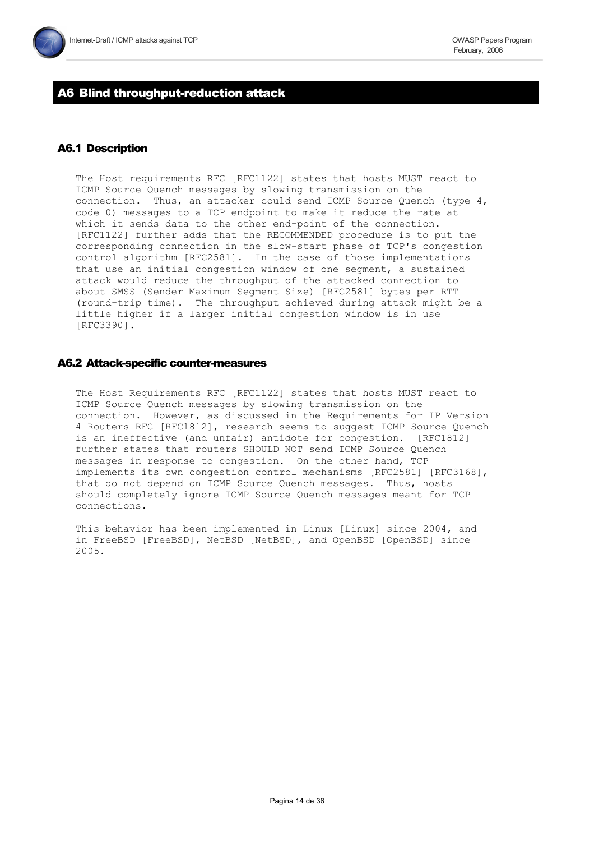# A6 Blind throughput-reduction attack

# **A6.1 Description**

The Host requirements RFC [RFC1122] states that hosts MUST react to ICMP Source Quench messages by slowing transmission on the connection. Thus, an attacker could send ICMP Source Quench (type 4, code 0) messages to a TCP endpoint to make it reduce the rate at which it sends data to the other end-point of the connection. [RFC1122] further adds that the RECOMMENDED procedure is to put the corresponding connection in the slow-start phase of TCP's congestion control algorithm [RFC2581]. In the case of those implementations that use an initial congestion window of one segment, a sustained attack would reduce the throughput of the attacked connection to about SMSS (Sender Maximum Seqment Size) [RFC2581] bytes per RTT (round-trip time). The throughput achieved during attack might be a little higher if a larger initial congestion window is in use  $[REC3390]$ .

# A6.2 Attack-specific counter-measures

The Host Requirements RFC [RFC1122] states that hosts MUST react to ICMP Source Quench messages by slowing transmission on the connection. However, as discussed in the Requirements for IP Version 4 Routers RFC [RFC1812], research seems to suggest ICMP Source Quench is an ineffective (and unfair) antidote for congestion. [RFC1812] further states that routers SHOULD NOT send ICMP Source Quench messages in response to congestion. On the other hand, TCP implements its own congestion control mechanisms [RFC2581] [RFC3168], that do not depend on ICMP Source Quench messages. Thus, hosts should completely ignore ICMP Source Quench messages meant for TCP connections.

This behavior has been implemented in Linux [Linux] since 2004, and in FreeBSD [FreeBSD], NetBSD [NetBSD], and OpenBSD [OpenBSD] since 2005.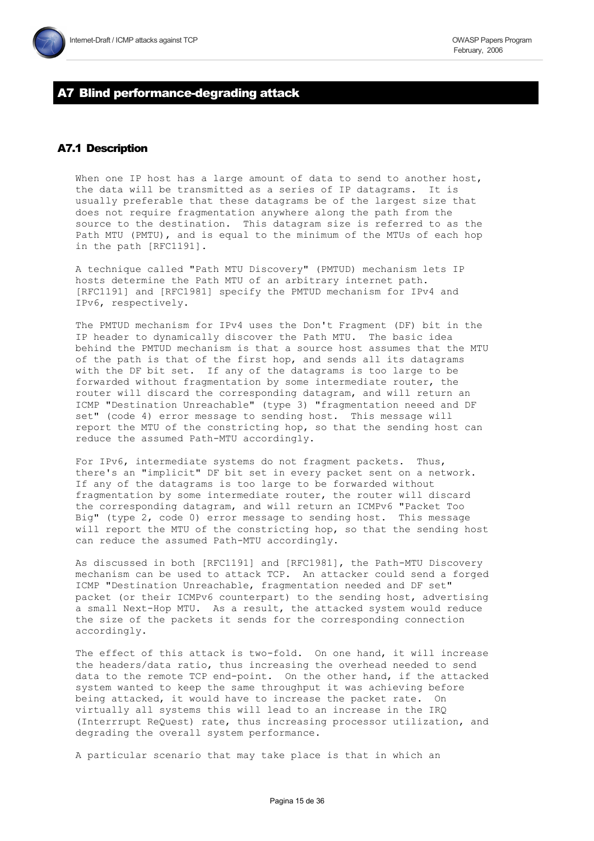# A7 Blind performance-degrading attack

# **A7.1 Description**

When one IP host has a large amount of data to send to another host, the data will be transmitted as a series of IP datagrams. It is usually preferable that these datagrams be of the largest size that does not require fragmentation anywhere along the path from the source to the destination. This datagram size is referred to as the Path MTU (PMTU), and is equal to the minimum of the MTUs of each hop in the path [RFC1191].

A technique called "Path MTU Discovery" (PMTUD) mechanism lets IP hosts determine the Path MTU of an arbitrary internet path. [RFC1191] and [RFC1981] specify the PMTUD mechanism for IPv4 and IPv6, respectively.

The PMTUD mechanism for IPv4 uses the Don't Fragment (DF) bit in the IP header to dynamically discover the Path MTU. The basic idea behind the PMTUD mechanism is that a source host assumes that the MTU of the path is that of the first hop, and sends all its datagrams with the DF bit set. If any of the datagrams is too large to be forwarded without fragmentation by some intermediate router, the router will discard the corresponding datagram, and will return an ICMP "Destination Unreachable" (type 3) "fragmentation neeed and DF set" (code 4) error message to sending host. This message will report the MTU of the constricting hop, so that the sending host can reduce the assumed Path-MTU accordingly.

For IPv6, intermediate systems do not fragment packets. Thus, there's an "implicit" DF bit set in every packet sent on a network. If any of the datagrams is too large to be forwarded without fragmentation by some intermediate router, the router will discard the corresponding datagram, and will return an ICMPv6 "Packet Too Big" (type 2, code 0) error message to sending host. This message will report the MTU of the constricting hop, so that the sending host can reduce the assumed Path-MTU accordingly.

As discussed in both [RFC1191] and [RFC1981], the Path-MTU Discovery mechanism can be used to attack TCP. An attacker could send a forged ICMP "Destination Unreachable, fragmentation needed and DF set" packet (or their ICMPv6 counterpart) to the sending host, advertising a small Next-Hop MTU. As a result, the attacked system would reduce the size of the packets it sends for the corresponding connection accordingly.

The effect of this attack is two-fold. On one hand, it will increase the headers/data ratio, thus increasing the overhead needed to send data to the remote TCP end-point. On the other hand, if the attacked system wanted to keep the same throughput it was achieving before being attacked, it would have to increase the packet rate. On virtually all systems this will lead to an increase in the IRQ (Interrrupt ReQuest) rate, thus increasing processor utilization, and degrading the overall system performance.

A particular scenario that may take place is that in which an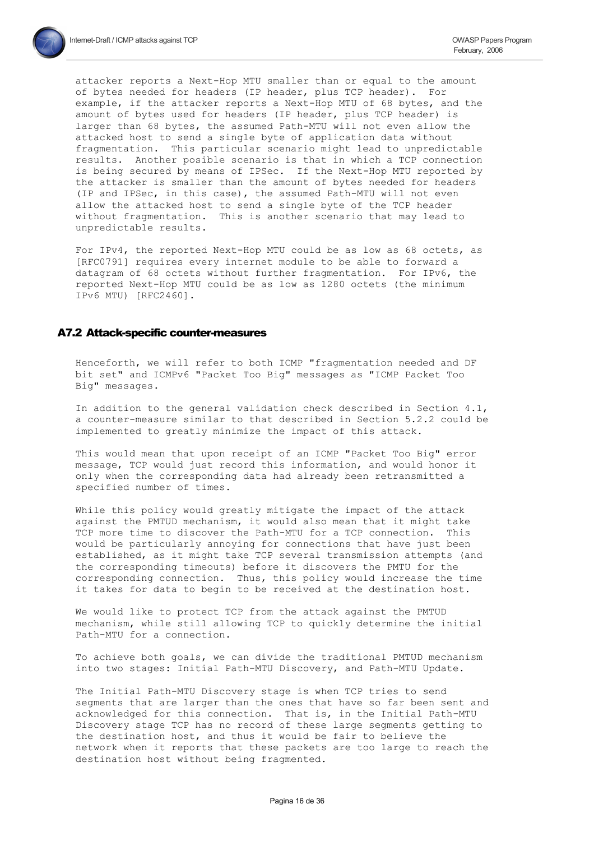attacker reports a Next-Hop MTU smaller than or equal to the amount of bytes needed for headers (IP header, plus TCP header). For example, if the attacker reports a Next-Hop MTU of 68 bytes, and the amount of bytes used for headers (IP header, plus TCP header) is larger than 68 bytes, the assumed Path-MTU will not even allow the attacked host to send a single byte of application data without fragmentation. This particular scenario might lead to unpredictable results. Another posible scenario is that in which a TCP connection is being secured by means of IPSec. If the Next-Hop MTU reported by the attacker is smaller than the amount of bytes needed for headers (IP and IPSec, in this case), the assumed Path-MTU will not even allow the attacked host to send a single byte of the TCP header without fragmentation. This is another scenario that may lead to unpredictable results.

For IPv4, the reported Next-Hop MTU could be as low as 68 octets, as [RFC0791] requires every internet module to be able to forward a datagram of 68 octets without further fragmentation. For IPv6, the reported Next-Hop MTU could be as low as 1280 octets (the minimum IPv6 MTU) [RFC2460].

#### A7.2 Attack-specific counter-measures

Henceforth, we will refer to both ICMP "fragmentation needed and DF bit set" and ICMPv6 "Packet Too Big" messages as "ICMP Packet Too Big" messages.

In addition to the general validation check described in Section 4.1, a counter-measure similar to that described in Section 5.2.2 could be implemented to greatly minimize the impact of this attack.

This would mean that upon receipt of an ICMP "Packet Too Big" error message, TCP would just record this information, and would honor it only when the corresponding data had already been retransmitted a specified number of times.

While this policy would greatly mitigate the impact of the attack against the PMTUD mechanism, it would also mean that it might take TCP more time to discover the Path-MTU for a TCP connection. This would be particularly annoying for connections that have just been established, as it might take TCP several transmission attempts (and the corresponding timeouts) before it discovers the PMTU for the corresponding connection. Thus, this policy would increase the time it takes for data to begin to be received at the destination host.

We would like to protect TCP from the attack against the PMTUD mechanism, while still allowing TCP to quickly determine the initial Path-MTU for a connection.

To achieve both goals, we can divide the traditional PMTUD mechanism into two stages: Initial Path-MTU Discovery, and Path-MTU Update.

The Initial Path-MTU Discovery stage is when TCP tries to send segments that are larger than the ones that have so far been sent and acknowledged for this connection. That is, in the Initial Path-MTU Discovery stage TCP has no record of these large segments getting to the destination host, and thus it would be fair to believe the network when it reports that these packets are too large to reach the destination host without being fragmented.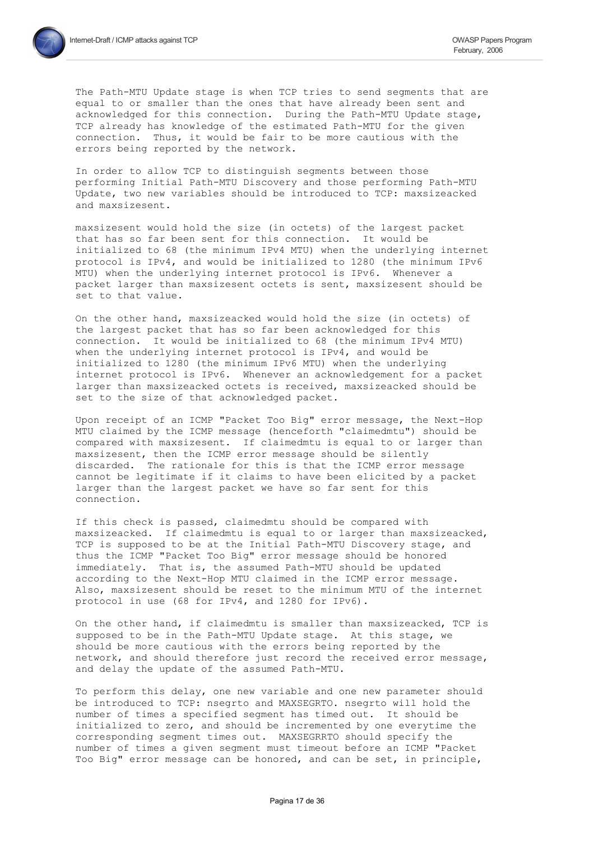The Path-MTU Update stage is when TCP tries to send segments that are equal to or smaller than the ones that have already been sent and acknowledged for this connection. During the Path-MTU Update stage, TCP already has knowledge of the estimated Path-MTU for the given connection. Thus, it would be fair to be more cautious with the errors being reported by the network.

In order to allow TCP to distinguish segments between those performing Initial Path-MTU Discovery and those performing Path-MTU Update, two new variables should be introduced to TCP: maxsizeacked and maxsizesent.

maxsizesent would hold the size (in octets) of the largest packet that has so far been sent for this connection. It would be initialized to 68 (the minimum IPv4 MTU) when the underlying internet protocol is IPv4, and would be initialized to 1280 (the minimum IPv6 MTU) when the underlying internet protocol is IPv6. Whenever a packet larger than maxsizesent octets is sent, maxsizesent should be set to that value.

On the other hand, maxsizeacked would hold the size (in octets) of the largest packet that has so far been acknowledged for this connection. It would be initialized to 68 (the minimum IPv4 MTU) when the underlying internet protocol is IPv4, and would be initialized to 1280 (the minimum IPv6 MTU) when the underlying internet protocol is IPv6. Whenever an acknowledgement for a packet larger than maxsizeacked octets is received, maxsizeacked should be set to the size of that acknowledged packet.

Upon receipt of an ICMP "Packet Too Big" error message, the Next-Hop MTU claimed by the ICMP message (henceforth "claimedmtu") should be compared with maxsizesent. If claimedmtu is equal to or larger than maxsizesent, then the ICMP error message should be silently discarded. The rationale for this is that the ICMP error message cannot be legitimate if it claims to have been elicited by a packet larger than the largest packet we have so far sent for this connection.

If this check is passed, claimedmtu should be compared with maxsizeacked. If claimedmtu is equal to or larger than maxsizeacked, TCP is supposed to be at the Initial Path-MTU Discovery stage, and thus the ICMP "Packet Too Big" error message should be honored immediately. That is, the assumed Path-MTU should be updated according to the Next-Hop MTU claimed in the ICMP error message. Also, maxsizesent should be reset to the minimum MTU of the internet protocol in use (68 for IPv4, and 1280 for IPv6).

On the other hand, if claimedmtu is smaller than maxsizeacked, TCP is supposed to be in the Path-MTU Update stage. At this stage, we should be more cautious with the errors being reported by the network, and should therefore just record the received error message, and delay the update of the assumed Path-MTU.

To perform this delay, one new variable and one new parameter should be introduced to TCP: nsegrto and MAXSEGRTO. nsegrto will hold the number of times a specified seqment has timed out. It should be initialized to zero, and should be incremented by one everytime the corresponding segment times out. MAXSEGRRTO should specify the number of times a given segment must timeout before an ICMP "Packet Too Big" error message can be honored, and can be set, in principle,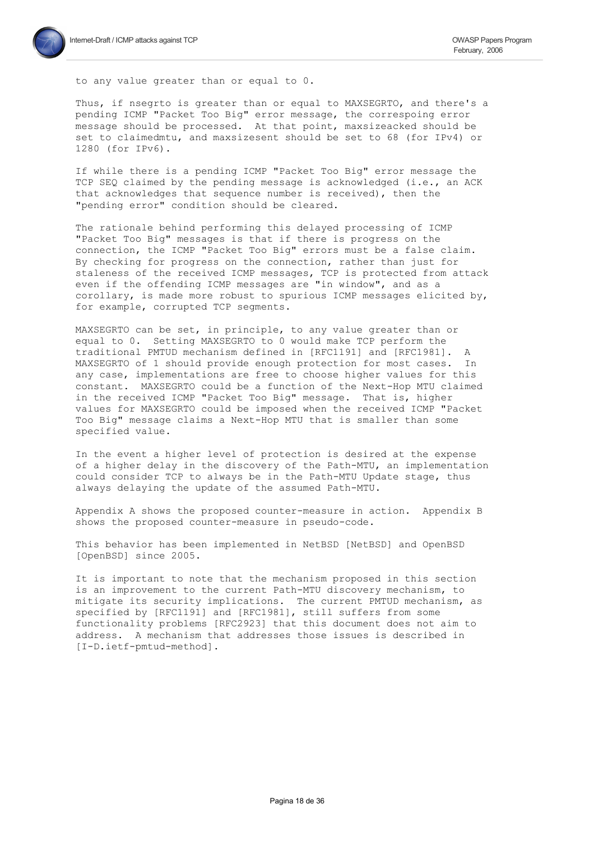

to any value greater than or equal to 0.

Thus, if nsegrto is greater than or equal to MAXSEGRTO, and there's a pending ICMP "Packet Too Big" error message, the correspoing error message should be processed. At that point, maxsizeacked should be set to claimedmtu, and maxsizesent should be set to 68 (for IPv4) or 1280 (for IPv6).

If while there is a pending ICMP "Packet Too Big" error message the TCP SEQ claimed by the pending message is acknowledged (i.e., an ACK that acknowledges that sequence number is received), then the "pending error" condition should be cleared.

The rationale behind performing this delayed processing of ICMP "Packet Too Big" messages is that if there is progress on the connection, the ICMP "Packet Too Big" errors must be a false claim. By checking for progress on the connection, rather than just for staleness of the received ICMP messages, TCP is protected from attack even if the offending ICMP messages are "in window", and as a corollary, is made more robust to spurious ICMP messages elicited by, for example, corrupted TCP segments.

MAXSEGRTO can be set, in principle, to any value greater than or equal to 0. Setting MAXSEGRTO to 0 would make TCP perform the traditional PMTUD mechanism defined in [RFC1191] and [RFC1981]. A MAXSEGRTO of 1 should provide enough protection for most cases. In any case, implementations are free to choose higher values for this constant. MAXSEGRTO could be a function of the Next-Hop MTU claimed in the received ICMP "Packet Too Big" message. That is, higher values for MAXSEGRTO could be imposed when the received ICMP "Packet Too Big" message claims a Next-Hop MTU that is smaller than some specified value.

In the event a higher level of protection is desired at the expense of a higher delay in the discovery of the Path-MTU, an implementation could consider TCP to always be in the Path-MTU Update stage, thus always delaying the update of the assumed Path-MTU.

Appendix A shows the proposed counter-measure in action. Appendix B shows the proposed counter-measure in pseudo-code.

This behavior has been implemented in NetBSD [NetBSD] and OpenBSD [OpenBSD] since 2005.

It is important to note that the mechanism proposed in this section is an improvement to the current Path-MTU discovery mechanism, to mitigate its security implications. The current PMTUD mechanism, as specified by [RFC1191] and [RFC1981], still suffers from some functionality problems [RFC2923] that this document does not aim to address. A mechanism that addresses those issues is described in [I-D.ietf-pmtud-method].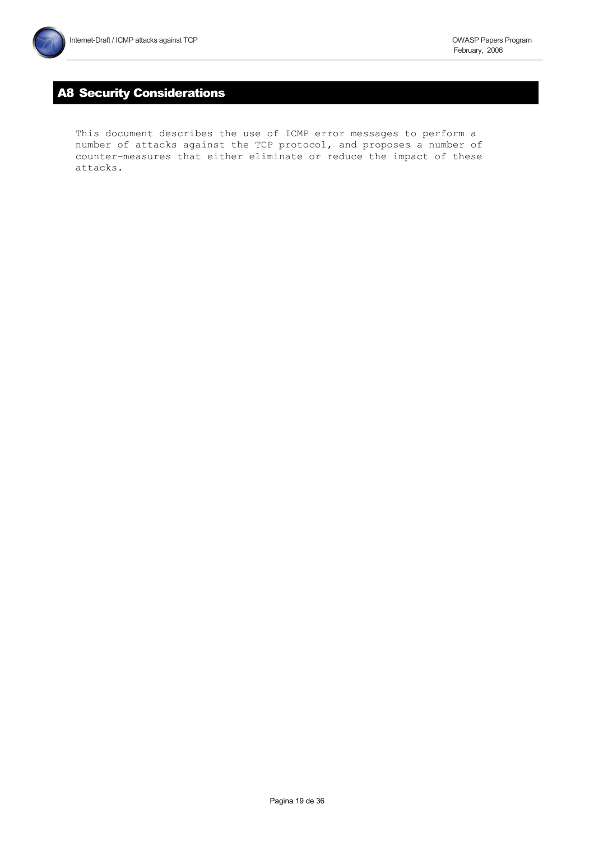# **A8 Security Considerations**

This document describes the use of ICMP error messages to perform a number of attacks against the TCP protocol, and proposes a number of counter-measures that either eliminate or reduce the impact of these attacks.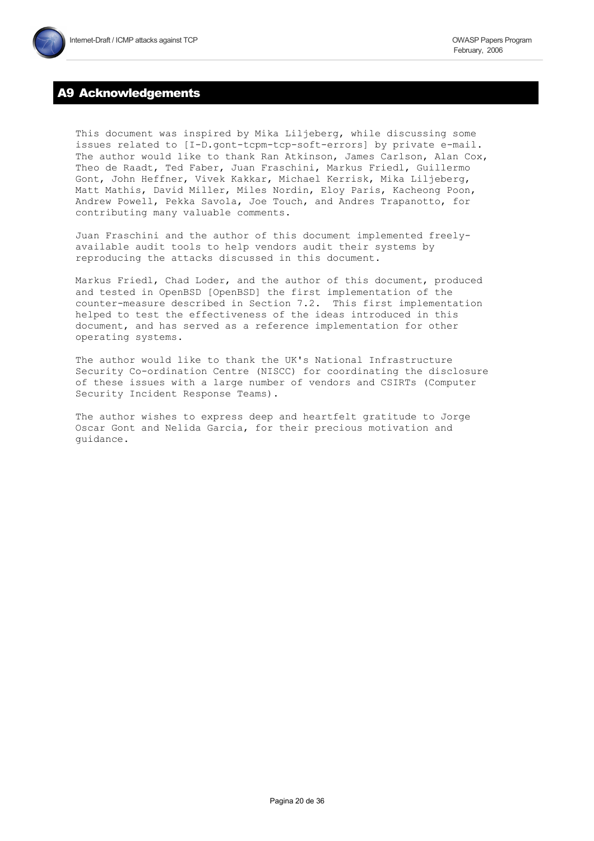# **A9 Acknowledgements**

This document was inspired by Mika Liljeberg, while discussing some issues related to [I-D.gont-tcpm-tcp-soft-errors] by private e-mail. The author would like to thank Ran Atkinson, James Carlson, Alan Cox, Theo de Raadt, Ted Faber, Juan Fraschini, Markus Friedl, Guillermo Gont, John Heffner, Vivek Kakkar, Michael Kerrisk, Mika Liljeberg, Matt Mathis, David Miller, Miles Nordin, Eloy Paris, Kacheong Poon, Andrew Powell, Pekka Savola, Joe Touch, and Andres Trapanotto, for contributing many valuable comments.

Juan Fraschini and the author of this document implemented freelyavailable audit tools to help vendors audit their systems by reproducing the attacks discussed in this document.

Markus Friedl, Chad Loder, and the author of this document, produced and tested in OpenBSD [OpenBSD] the first implementation of the counter-measure described in Section 7.2. This first implementation helped to test the effectiveness of the ideas introduced in this document, and has served as a reference implementation for other operating systems.

The author would like to thank the UK's National Infrastructure Security Co-ordination Centre (NISCC) for coordinating the disclosure of these issues with a large number of vendors and CSIRTs (Computer Security Incident Response Teams).

The author wishes to express deep and heartfelt gratitude to Jorge Oscar Gont and Nelida Garcia, for their precious motivation and quidance.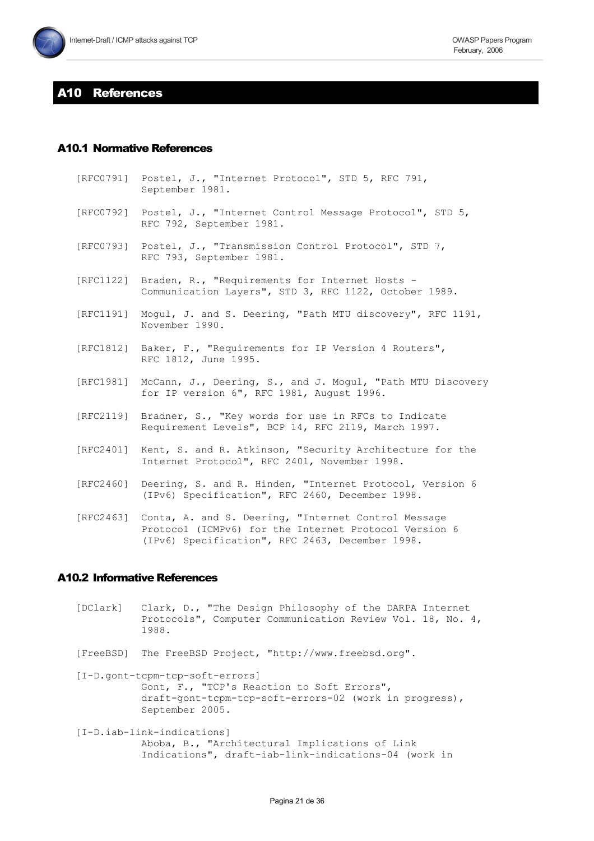# **410 References**

# **A10.1 Normative References**

- Postel, J., "Internet Protocol", STD 5, RFC 791, [RFC0791] September 1981.
- [RFC0792] Postel, J., "Internet Control Message Protocol", STD 5, RFC 792, September 1981.
- [RFC0793] Postel, J., "Transmission Control Protocol", STD 7, RFC 793, September 1981.
- [RFC1122] Braden, R., "Requirements for Internet Hosts -Communication Layers", STD 3, RFC 1122, October 1989.
- [RFC1191] Mogul, J. and S. Deering, "Path MTU discovery", RFC 1191, November 1990.
- [RFC1812] Baker, F., "Requirements for IP Version 4 Routers", RFC 1812, June 1995.
- [RFC1981] McCann, J., Deering, S., and J. Mogul, "Path MTU Discovery for IP version 6", RFC 1981, August 1996.
- [RFC2119] Bradner, S., "Key words for use in RFCs to Indicate Requirement Levels", BCP 14, RFC 2119, March 1997.
- [RFC2401] Kent, S. and R. Atkinson, "Security Architecture for the Internet Protocol", RFC 2401, November 1998.
- $[RFC2460]$ Deering, S. and R. Hinden, "Internet Protocol, Version 6 (IPv6) Specification", RFC 2460, December 1998.
- [RFC2463] Conta, A. and S. Deering, "Internet Control Message Protocol (ICMPv6) for the Internet Protocol Version 6 (IPv6) Specification", RFC 2463, December 1998.

# **A10.2 Informative References**

- Clark, D., "The Design Philosophy of the DARPA Internet [DClark] Protocols", Computer Communication Review Vol. 18, No. 4, 1988.
- [FreeBSD] The FreeBSD Project, "http://www.freebsd.org".
- [I-D.gont-tcpm-tcp-soft-errors] Gont, F., "TCP's Reaction to Soft Errors", draft-gont-tcpm-tcp-soft-errors-02 (work in progress), September 2005.
- [I-D.iab-link-indications] Aboba, B., "Architectural Implications of Link Indications", draft-iab-link-indications-04 (work in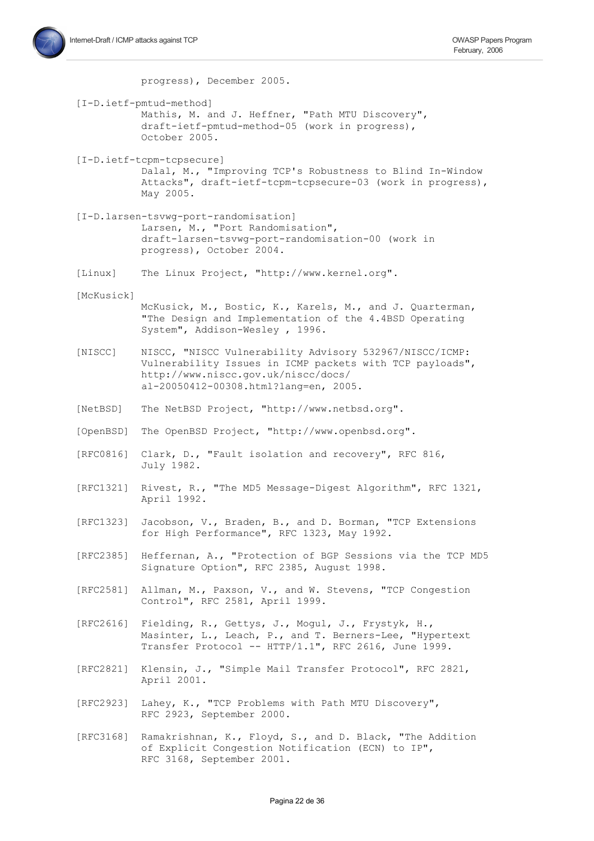

progress), December 2005.

- [I-D.ietf-pmtud-method] Mathis, M. and J. Heffner, "Path MTU Discovery", draft-ietf-pmtud-method-05 (work in progress), October 2005.
- [I-D.ietf-tcpm-tcpsecure] Dalal, M., "Improving TCP's Robustness to Blind In-Window Attacks", draft-ietf-tcpm-tcpsecure-03 (work in progress), May 2005.
- [I-D.larsen-tsvwq-port-randomisation] Larsen, M., "Port Randomisation", draft-larsen-tsvwq-port-randomisation-00 (work in progress), October 2004.
- The Linux Project, "http://www.kernel.org". [Linux]
- [McKusick]
	- McKusick, M., Bostic, K., Karels, M., and J. Quarterman, "The Design and Implementation of the 4.4BSD Operating System", Addison-Wesley, 1996.
- NISCC, "NISCC Vulnerability Advisory 532967/NISCC/ICMP: [NISCC] Vulnerability Issues in ICMP packets with TCP payloads", http://www.niscc.gov.uk/niscc/docs/ al-20050412-00308.html?lang=en, 2005.
- [NetBSD] The NetBSD Project, "http://www.netbsd.org".
- [OpenBSD] The OpenBSD Project, "http://www.openbsd.org".
- [RFC0816] Clark, D., "Fault isolation and recovery", RFC 816, July 1982.
- [RFC1321] Rivest, R., "The MD5 Message-Digest Algorithm", RFC 1321, April 1992.
- Jacobson, V., Braden, B., and D. Borman, "TCP Extensions [RFC1323] for High Performance", RFC 1323, May 1992.
- [RFC2385] Heffernan, A., "Protection of BGP Sessions via the TCP MD5 Signature Option", RFC 2385, August 1998.
- [RFC2581] Allman, M., Paxson, V., and W. Stevens, "TCP Congestion Control", RFC 2581, April 1999.
- [RFC2616] Fielding, R., Gettys, J., Mogul, J., Frystyk, H., Masinter, L., Leach, P., and T. Berners-Lee, "Hypertext Transfer Protocol -- HTTP/1.1", RFC 2616, June 1999.
- [RFC2821] Klensin, J., "Simple Mail Transfer Protocol", RFC 2821, April 2001.
- [RFC2923] Lahey, K., "TCP Problems with Path MTU Discovery", RFC 2923, September 2000.
- [RFC3168] Ramakrishnan, K., Floyd, S., and D. Black, "The Addition of Explicit Congestion Notification (ECN) to IP", RFC 3168, September 2001.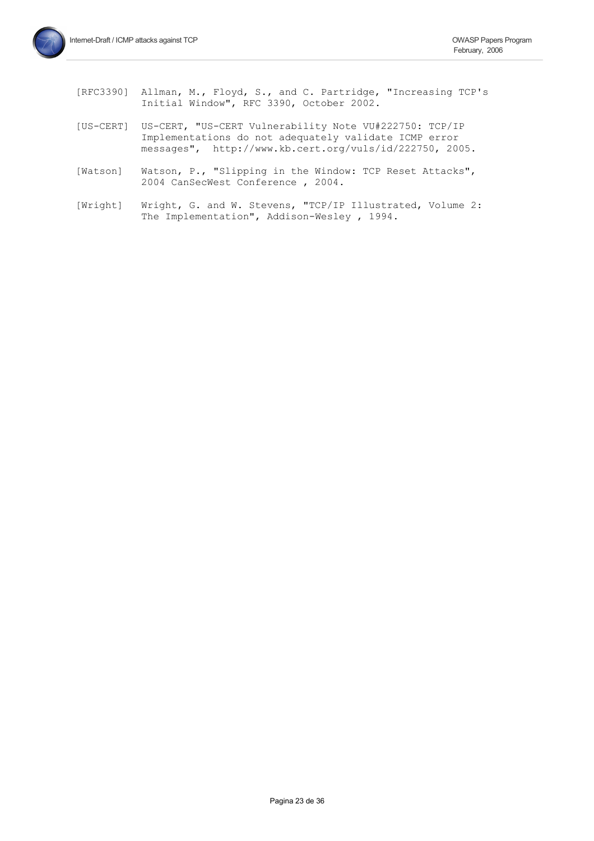- [RFC3390] Allman, M., Floyd, S., and C. Partridge, "Increasing TCP's Initial Window", RFC 3390, October 2002.
- [US-CERT] US-CERT, "US-CERT Vulnerability Note VU#222750: TCP/IP Implementations do not adequately validate ICMP error messages", http://www.kb.cert.org/vuls/id/222750, 2005.
- Watson, P., "Slipping in the Window: TCP Reset Attacks", [Watson] 2004 CanSecWest Conference, 2004.
- Wright, G. and W. Stevens, "TCP/IP Illustrated, Volume 2: [Wright] The Implementation", Addison-Wesley, 1994.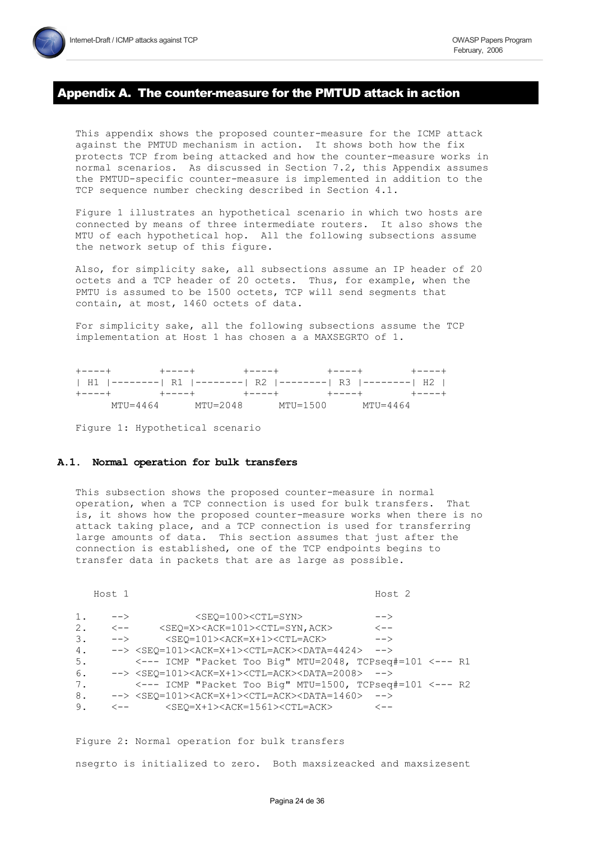# Appendix A. The counter-measure for the PMTUD attack in action

This appendix shows the proposed counter-measure for the ICMP attack against the PMTUD mechanism in action. It shows both how the fix protects TCP from being attacked and how the counter-measure works in normal scenarios. As discussed in Section 7.2, this Appendix assumes the PMTUD-specific counter-measure is implemented in addition to the TCP sequence number checking described in Section 4.1.

Figure 1 illustrates an hypothetical scenario in which two hosts are connected by means of three intermediate routers. It also shows the MTU of each hypothetical hop. All the following subsections assume the network setup of this figure.

Also, for simplicity sake, all subsections assume an IP header of 20 octets and a TCP header of 20 octets. Thus, for example, when the PMTU is assumed to be 1500 octets, TCP will send segments that contain, at most, 1460 octets of data.

For simplicity sake, all the following subsections assume the TCP implementation at Host 1 has chosen a a MAXSEGRTO of 1.

|              | +----+      +----+     +----+     +-----+     +----+       |                           |  |  |
|--------------|------------------------------------------------------------|---------------------------|--|--|
|              | H1  --------  R1  --------  R2  --------  R3  --------  H2 |                           |  |  |
|              | +----+ +----+ +----+ +----+ +----+ +----+                  |                           |  |  |
| $MTU = 4464$ | MTU=2048                                                   | $MTU = 1500$ $MTU = 4464$ |  |  |

Figure 1: Hypothetical scenario

#### A.1. Normal operation for bulk transfers

This subsection shows the proposed counter-measure in normal operation, when a TCP connection is used for bulk transfers. That is, it shows how the proposed counter-measure works when there is no attack taking place, and a TCP connection is used for transferring large amounts of data. This section assumes that just after the connection is established, one of the TCP endpoints begins to transfer data in packets that are as large as possible.

Host 1 Host<sub>2</sub>  $1.$  $\rightarrow$ <SEQ=100><CTL=SYN>  $\rightarrow$  $2.$  $\leftarrow$   $-$ <SEQ=X><ACK=101><CTL=SYN,ACK>  $\lt$  - - $--&$  $\mathcal{E}$  $<$ SEQ=101><ACK=X+1><CTL=ACK>  $--&$  $4.$  $\leftarrow$  > <SEQ=101><ACK=X+1><CTL=ACK><DATA=4424>  $--&>$  $5<sub>1</sub>$ <--- ICMP "Packet Too Big" MTU=2048, TCPseq#=101 <--- R1 6. --> <SEO=101><ACK=X+1><CTL=ACK><DATA=2008> --> 7. <--- ICMP "Packet Too Big" MTU=1500, TCPseq#=101 <--- R2 8. --> <SEO=101><ACK=X+1><CTL=ACK><DATA=1460> -->  $9<sub>1</sub>$  $\leftarrow$   $<$ SEO=X+1><ACK=1561><CTL=ACK>  $\lt$  - -

Figure 2: Normal operation for bulk transfers nsegrto is initialized to zero. Both maxsizeacked and maxsizesent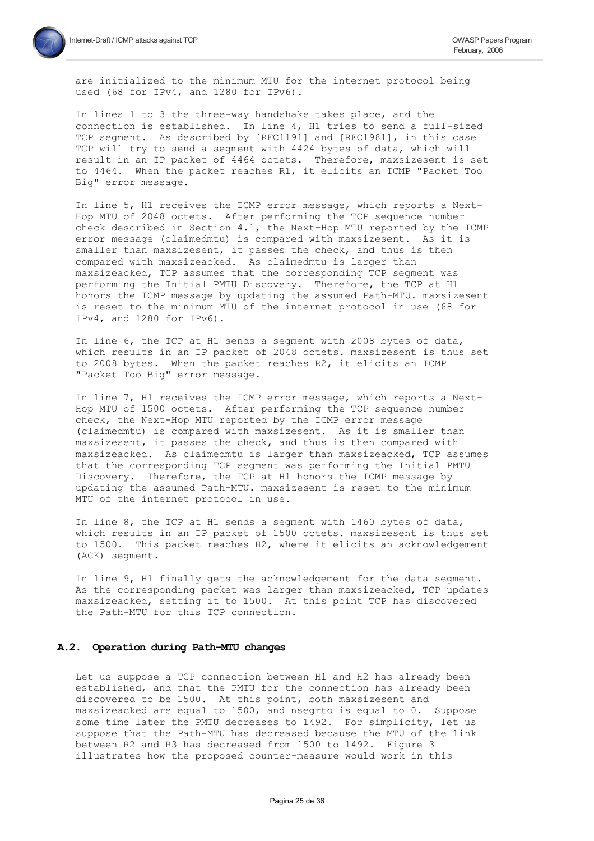are initialized to the minimum MTU for the internet protocol being used (68 for IPv4, and 1280 for IPv6).

In lines 1 to 3 the three-way handshake takes place, and the connection is established. In line 4, H1 tries to send a full-sized TCP segment. As described by [RFC1191] and [RFC1981], in this case TCP will try to send a seqment with 4424 bytes of data, which will result in an IP packet of 4464 octets. Therefore, maxsizesent is set to 4464. When the packet reaches R1, it elicits an ICMP "Packet Too Big" error message.

In line 5, H1 receives the ICMP error message, which reports a Next-Hop MTU of 2048 octets. After performing the TCP sequence number check described in Section 4.1, the Next-Hop MTU reported by the ICMP error message (claimedmtu) is compared with maxsizesent. As it is smaller than maxsizesent, it passes the check, and thus is then compared with maxsizeacked. As claimedmtu is larger than maxsizeacked, TCP assumes that the corresponding TCP segment was performing the Initial PMTU Discovery. Therefore, the TCP at H1 honors the ICMP message by updating the assumed Path-MTU. maxsizesent is reset to the minimum MTU of the internet protocol in use (68 for IPv4, and 1280 for IPv6).

In line 6, the TCP at H1 sends a segment with 2008 bytes of data, which results in an IP packet of 2048 octets. maxsizesent is thus set to 2008 bytes. When the packet reaches R2, it elicits an ICMP "Packet Too Big" error message.

In line 7, H1 receives the ICMP error message, which reports a Next-Hop MTU of 1500 octets. After performing the TCP sequence number check, the Next-Hop MTU reported by the ICMP error message (claimedmtu) is compared with maxsizesent. As it is smaller than maxsizesent, it passes the check, and thus is then compared with maxsizeacked. As claimedmtu is larger than maxsizeacked, TCP assumes that the corresponding TCP segment was performing the Initial PMTU Discovery. Therefore, the TCP at H1 honors the ICMP message by updating the assumed Path-MTU. maxsizesent is reset to the minimum MTU of the internet protocol in use.

In line 8, the TCP at H1 sends a segment with 1460 bytes of data, which results in an IP packet of 1500 octets. maxsizesent is thus set to 1500. This packet reaches H2, where it elicits an acknowledgement (ACK) seqment.

In line 9, H1 finally gets the acknowledgement for the data segment. As the corresponding packet was larger than maxsizeacked, TCP updates maxsizeacked, setting it to 1500. At this point TCP has discovered the Path-MTU for this TCP connection.

#### A.2. Operation during Path-MTU changes

Let us suppose a TCP connection between H1 and H2 has already been established, and that the PMTU for the connection has already been discovered to be 1500. At this point, both maxsizesent and maxsizeacked are equal to 1500, and nseqrto is equal to 0. Suppose some time later the PMTU decreases to 1492. For simplicity, let us suppose that the Path-MTU has decreased because the MTU of the link between R2 and R3 has decreased from 1500 to 1492. Figure 3 illustrates how the proposed counter-measure would work in this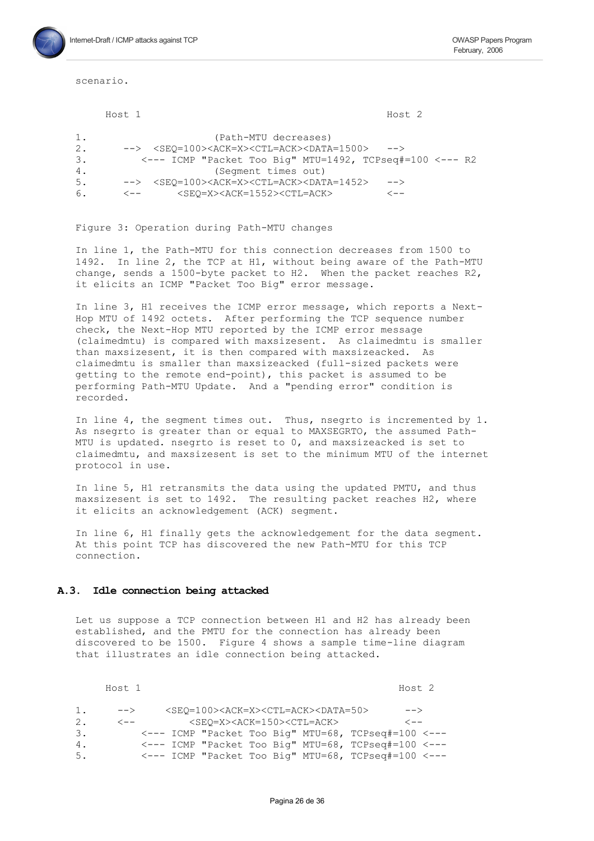scenario.

Host 1

Host<sub>2</sub>

| 1. | (Path-MTU decreases)                                                                                     |
|----|----------------------------------------------------------------------------------------------------------|
| 2. | --> <seo=100><ack=x><ctl=ack><data=1500><br/><math>--</math></data=1500></ctl=ack></ack=x></seo=100>     |
| 3. | $\leftarrow$ --- ICMP "Packet Too Big" MTU=1492, TCPseg#=100 $\leftarrow$ --- R2                         |
| 4. | (Segment times out)                                                                                      |
| 5. | --> <seo=100><ack=x><ctl=ack><data=1452><br/><math>--&gt;</math></data=1452></ctl=ack></ack=x></seo=100> |
| 6. | <seo=x><ack=1552><ctl=ack><br/>&lt;--<br/>´ — —</ctl=ack></ack=1552></seo=x>                             |

#### Figure 3: Operation during Path-MTU changes

In line 1, the Path-MTU for this connection decreases from 1500 to 1492. In line 2, the TCP at H1, without being aware of the Path-MTU change, sends a 1500-byte packet to H2. When the packet reaches R2, it elicits an ICMP "Packet Too Big" error message.

In line 3, H1 receives the ICMP error message, which reports a Next-Hop MTU of 1492 octets. After performing the TCP sequence number check, the Next-Hop MTU reported by the ICMP error message (claimedmtu) is compared with maxsizesent. As claimedmtu is smaller than maxsizesent, it is then compared with maxsizeacked. As claimedmtu is smaller than maxsizeacked (full-sized packets were getting to the remote end-point), this packet is assumed to be performing Path-MTU Update. And a "pending error" condition is recorded.

In line 4, the seqment times out. Thus, nseqrto is incremented by 1. As nsegrto is greater than or equal to MAXSEGRTO, the assumed Path-MTU is updated. nsegrto is reset to 0, and maxsizeacked is set to claimedmtu, and maxsizesent is set to the minimum MTU of the internet protocol in use.

In line 5, H1 retransmits the data using the updated PMTU, and thus maxsizesent is set to 1492. The resulting packet reaches H2, where it elicits an acknowledgement (ACK) segment.

In line 6, H1 finally gets the acknowledgement for the data segment. At this point TCP has discovered the new Path-MTU for this TCP connection.

#### A.3. Idle connection being attacked

Let us suppose a TCP connection between H1 and H2 has already been established, and the PMTU for the connection has already been discovered to be 1500. Figure 4 shows a sample time-line diagram that illustrates an idle connection being attacked.

Host 1 Host 2  $\rightarrow$  $1.$  $--\rightarrow$ <SEQ=100><ACK=X><CTL=ACK><DATA=50>  $<$ SEQ=X><ACK=150><CTL=ACK>  $2.$  $\lt$  - -<--- ICMP "Packet Too Big" MTU=68, TCPseq#=100 <--- $3.$  $\leftarrow$ --- ICMP "Packet Too Big" MTU=68, TCPseq#=100  $\leftarrow$ -- $4.$ <--- ICMP "Packet Too Big" MTU=68, TCPseg#=100 <--- $5.$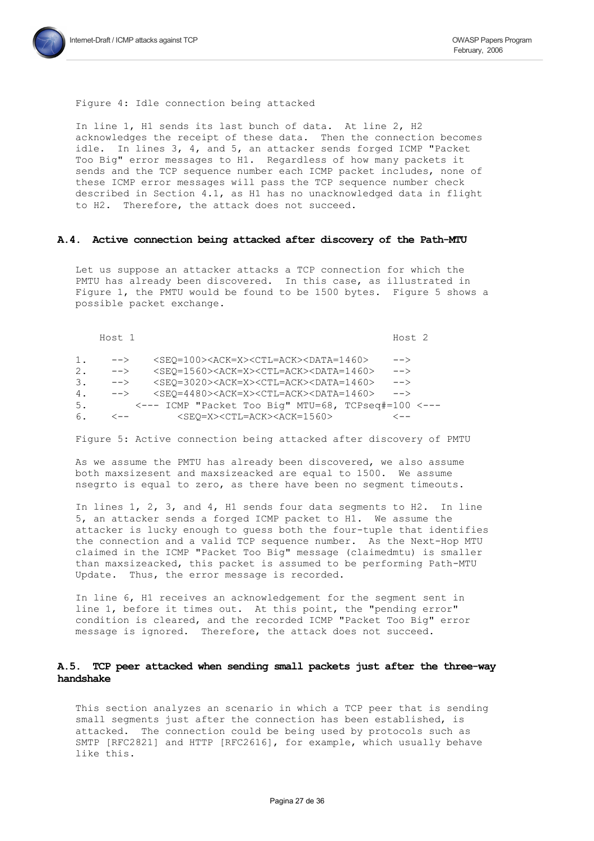

#### Figure 4: Idle connection being attacked

In line 1, H1 sends its last bunch of data. At line 2, H2 acknowledges the receipt of these data. Then the connection becomes idle. In lines 3, 4, and 5, an attacker sends forged ICMP "Packet Too Big" error messages to H1. Regardless of how many packets it sends and the TCP sequence number each ICMP packet includes, none of these ICMP error messages will pass the TCP sequence number check described in Section 4.1, as H1 has no unacknowledged data in flight to H2. Therefore, the attack does not succeed.

#### A.4. Active connection being attacked after discovery of the Path-MTU

Let us suppose an attacker attacks a TCP connection for which the PMTU has already been discovered. In this case, as illustrated in Figure 1, the PMTU would be found to be 1500 bytes. Figure 5 shows a possible packet exchange.

Host 1

Host<sub>2</sub>

| ı. | $-->$      | <seo=100><ack=x><ctl=ack><data=1460><br/><math>--&amp;&gt;</math></data=1460></ctl=ack></ack=x></seo=100> |  |
|----|------------|-----------------------------------------------------------------------------------------------------------|--|
| 2. | $-->$      | $<$ SEO=1560> <ack=x><ctl=ack><data=1460><br/><math>--&amp;&gt;</math></data=1460></ctl=ack></ack=x>      |  |
| З. | $-->$      | $<$ SEO=3020> <ack=x><ctl=ack><data=1460><br/><math>--&amp;&gt;</math></data=1460></ctl=ack></ack=x>      |  |
| 4. | $-->$      | $<$ SEO=4480> <ack=x><ctl=ack><data=1460><br/><math>--</math></data=1460></ctl=ack></ack=x>               |  |
| 5. |            | <--- ICMP "Packet Too Big" MTU=68, TCPseq#=100 <---                                                       |  |
| 6. | $\lt$ $--$ | <seo=x><ctl=ack><ack=1560><br/>&lt;--</ack=1560></ctl=ack></seo=x>                                        |  |

Figure 5: Active connection being attacked after discovery of PMTU

As we assume the PMTU has already been discovered, we also assume both maxsizesent and maxsizeacked are equal to 1500. We assume nsegrto is equal to zero, as there have been no seqment timeouts.

In lines 1, 2, 3, and 4, H1 sends four data segments to H2. In line 5, an attacker sends a forged ICMP packet to H1. We assume the attacker is lucky enough to quess both the four-tuple that identifies the connection and a valid TCP sequence number. As the Next-Hop MTU claimed in the ICMP "Packet Too Big" message (claimedmtu) is smaller than maxsizeacked, this packet is assumed to be performing Path-MTU Update. Thus, the error message is recorded.

In line 6, H1 receives an acknowledgement for the segment sent in line 1, before it times out. At this point, the "pending error" condition is cleared, and the recorded ICMP "Packet Too Big" error message is ignored. Therefore, the attack does not succeed.

### A.5. TCP peer attacked when sending small packets just after the three-way handshake

This section analyzes an scenario in which a TCP peer that is sending small seqments just after the connection has been established, is attacked. The connection could be being used by protocols such as SMTP [RFC2821] and HTTP [RFC2616], for example, which usually behave like this.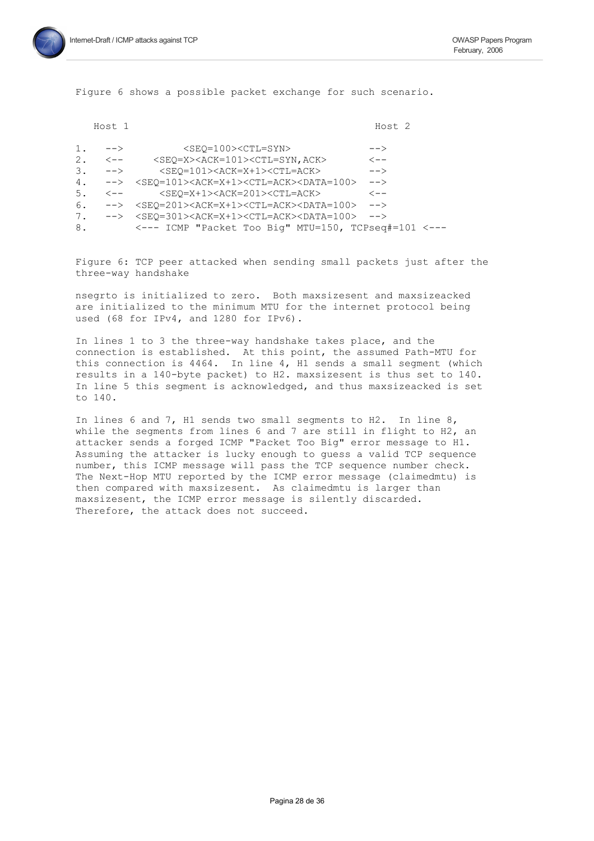Figure 6 shows a possible packet exchange for such scenario.

|    | Host 1           | Host <sub>2</sub>                                                                                               |  |
|----|------------------|-----------------------------------------------------------------------------------------------------------------|--|
| 1. | $-->$            | <seo=100><ctl=syn><br/><math>\rightarrow</math></ctl=syn></seo=100>                                             |  |
| 2. | $\leftarrow$ $-$ | <seq=x><ack=101><ctl=syn, ack=""><br/><math>\lt</math> <math>-</math></ctl=syn,></ack=101></seq=x>              |  |
| 3. | $-->$            | <seo=101><ack=x+1><ctl=ack><br/><math>--&amp;&gt;</math></ctl=ack></ack=x+1></seo=101>                          |  |
| 4. | ——>              | <seq=101><ack=x+1><ctl=ack><data=100><br/><math>--&amp;</math></data=100></ctl=ack></ack=x+1></seq=101>         |  |
| 5. | $\leftarrow$ $-$ | <seo=x+1><ack=201><ctl=ack><br/><math>\lt</math> <math>-</math></ctl=ack></ack=201></seo=x+1>                   |  |
| 6. |                  | --> <seq=201><ack=x+1><ctl=ack><data=100><br/><math>--&amp;&gt;</math></data=100></ctl=ack></ack=x+1></seq=201> |  |
| 7. | $-->$            | <seo=301><ack=x+1><ctl=ack><data=100><br/><math>--&amp;&gt;</math></data=100></ctl=ack></ack=x+1></seo=301>     |  |
| 8. |                  | <--- ICMP "Packet Too Big" MTU=150, TCPseq#=101 <---                                                            |  |

Figure 6: TCP peer attacked when sending small packets just after the three-way handshake

nsegrto is initialized to zero. Both maxsizesent and maxsizeacked are initialized to the minimum MTU for the internet protocol being used (68 for IPv4, and 1280 for IPv6).

In lines 1 to 3 the three-way handshake takes place, and the connection is established. At this point, the assumed Path-MTU for this connection is  $4464$ . In line  $4$ ,  $H1$  sends a small segment (which results in a 140-byte packet) to H2. maxsizesent is thus set to 140. In line 5 this segment is acknowledged, and thus maxsizeacked is set to 140.

In lines 6 and 7, H1 sends two small seqments to H2. In line 8, while the segments from lines 6 and 7 are still in flight to H2, an attacker sends a forged ICMP "Packet Too Big" error message to H1. Assuming the attacker is lucky enough to quess a valid TCP sequence number, this ICMP message will pass the TCP sequence number check. The Next-Hop MTU reported by the ICMP error message (claimedmtu) is then compared with maxsizesent. As claimedmtu is larger than maxsizesent, the ICMP error message is silently discarded. Therefore, the attack does not succeed.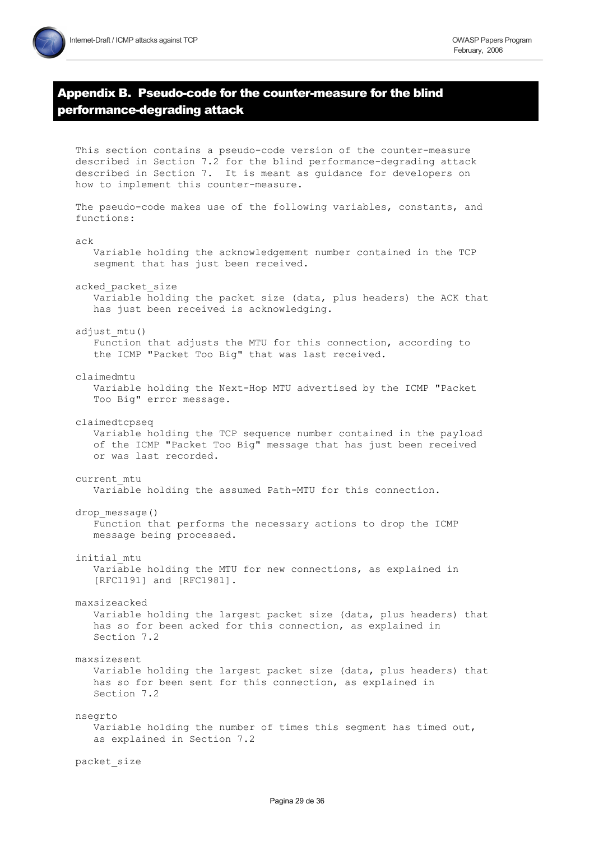# Appendix B. Pseudo-code for the counter-measure for the blind performance-degrading attack

This section contains a pseudo-code version of the counter-measure

described in Section 7.2 for the blind performance-degrading attack described in Section 7. It is meant as quidance for developers on how to implement this counter-measure. The pseudo-code makes use of the following variables, constants, and functions:  $ACk$ Variable holding the acknowledgement number contained in the TCP seqment that has just been received. acked packet size Variable holding the packet size (data, plus headers) the ACK that has just been received is acknowledging. adjust mtu() Function that adjusts the MTU for this connection, according to the ICMP "Packet Too Big" that was last received. claimedmtu Variable holding the Next-Hop MTU advertised by the ICMP "Packet Too Big" error message. claimedtcpseq Variable holding the TCP sequence number contained in the payload of the ICMP "Packet Too Big" message that has just been received or was last recorded. current mtu Variable holding the assumed Path-MTU for this connection.  $drop$  message $()$ Function that performs the necessary actions to drop the ICMP message being processed. initial mtu Variable holding the MTU for new connections, as explained in [RFC1191] and [RFC1981]. maxsizeacked Variable holding the largest packet size (data, plus headers) that has so for been acked for this connection, as explained in Section 7.2 maxsizesent Variable holding the largest packet size (data, plus headers) that has so for been sent for this connection, as explained in Section 7.2 nsegrto Variable holding the number of times this segment has timed out, as explained in Section 7.2 packet size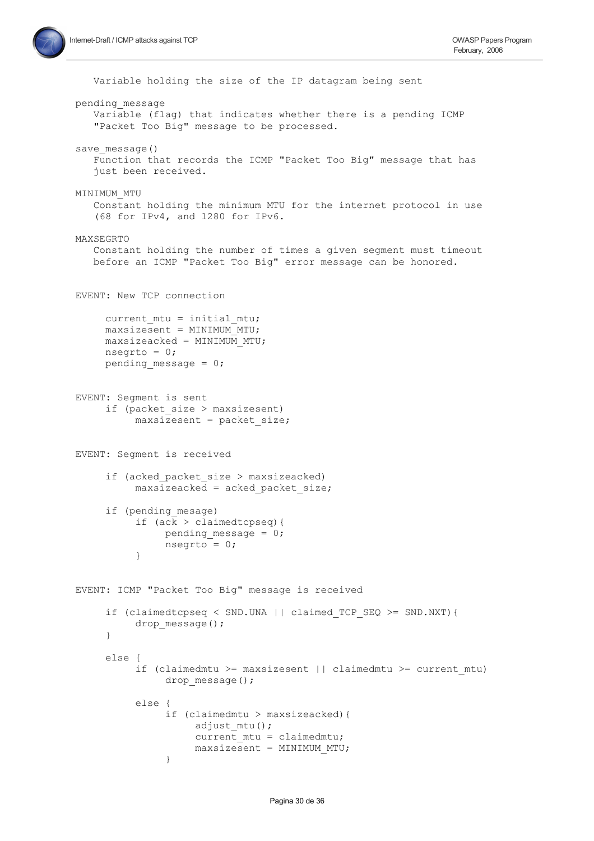```
Variable holding the size of the IP datagram being sent
pending message
   Variable (flag) that indicates whether there is a pending ICMP
   "Packet Too Big" message to be processed.
save message()
   Function that records the ICMP "Packet Too Big" message that has
   just been received.
MINIMUM MTU
   Constant holding the minimum MTU for the internet protocol in use
   (68 for IPv4, and 1280 for IPv6.
MAXSEGRTO
   Constant holding the number of times a given segment must timeout
  before an ICMP "Packet Too Big" error message can be honored.
EVENT: New TCP connection
     current mtu = initial mtu;maxsizesent = MINIMUM MTU;
    maxsizeacked = MINIMUM MTU;nseqrto = 0;
     pending message = 0;
EVENT: Segment is sent
     if (packet size > maxsizesent)
          maxsizesent = packet size;EVENT: Seqment is received
     if (acked packet size > maxsizeacked)
          maxsizeacked =acked packet size;if (pending mesage)
          if (ack > claimedtopseq) {
               pending_message = 0;nsegrto = 0;
          \left\{ \right\}EVENT: ICMP "Packet Too Big" message is received
     if (claimedtcpseq < SND.UNA || claimed TCP SEQ >= SND.NXT){
          drop message();
     \}else {
          if (claimedmtu >= maxsizesent || claimedmtu >= current mtu)
               drop message();
          else {
               if (claimedmtu > maxsizeacked) {
                    adjust mtu();
                    current mtu = claimedmtu;
                    maxsizesent = MINIMUM MTU;
               \}
```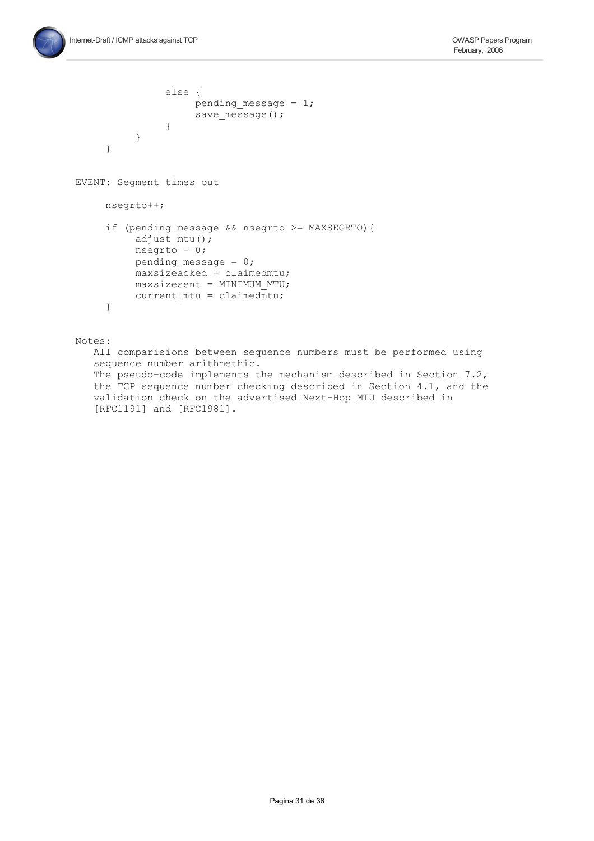```
else {
                     pending message = 1;
                     save message();
                \}\}\left\{ \right.EVENT: Segment times out
     nseqrto++;
     if (pending message && nsegrto >= MAXSEGRTO) {
          adjust mtu();
          n segrto = 0;
          pending message = 0;
          maxsizeacked = claimedmtu;
          maxsizesent = MINIMUM MTU;current mtu = claimedmtu;\}Notes:
```
All comparisions between sequence numbers must be performed using sequence number arithmethic. The pseudo-code implements the mechanism described in Section 7.2, the TCP sequence number checking described in Section 4.1, and the validation check on the advertised Next-Hop MTU described in [RFC1191] and [RFC1981].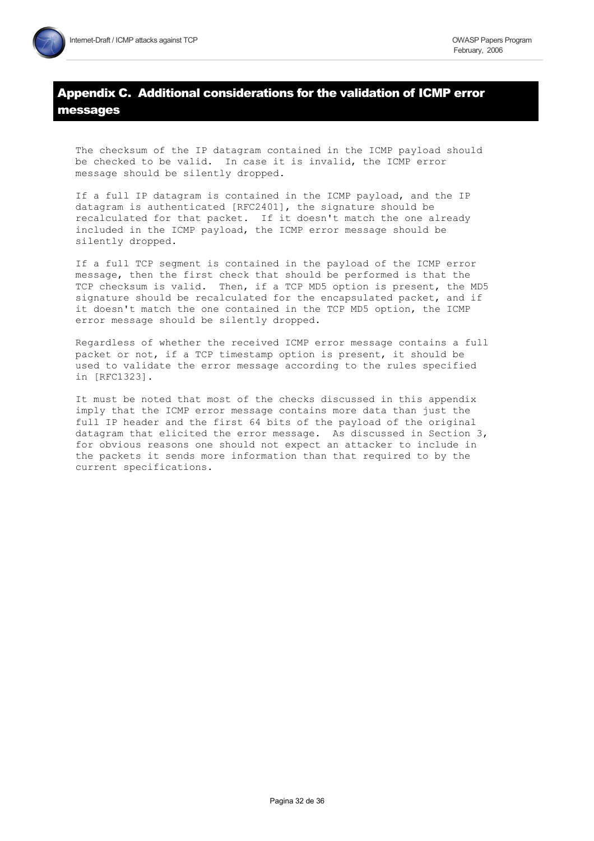# Appendix C. Additional considerations for the validation of ICMP error messages

The checksum of the IP datagram contained in the ICMP payload should be checked to be valid. In case it is invalid, the ICMP error message should be silently dropped.

If a full IP datagram is contained in the ICMP payload, and the IP datagram is authenticated [RFC2401], the signature should be recalculated for that packet. If it doesn't match the one already included in the ICMP payload, the ICMP error message should be silently dropped.

If a full TCP segment is contained in the payload of the ICMP error message, then the first check that should be performed is that the TCP checksum is valid. Then, if a TCP MD5 option is present, the MD5 signature should be recalculated for the encapsulated packet, and if it doesn't match the one contained in the TCP MD5 option, the ICMP error message should be silently dropped.

Regardless of whether the received ICMP error message contains a full packet or not, if a TCP timestamp option is present, it should be used to validate the error message according to the rules specified in [RFC1323].

It must be noted that most of the checks discussed in this appendix imply that the ICMP error message contains more data than just the full IP header and the first 64 bits of the payload of the original datagram that elicited the error message. As discussed in Section 3, for obvious reasons one should not expect an attacker to include in the packets it sends more information than that required to by the current specifications.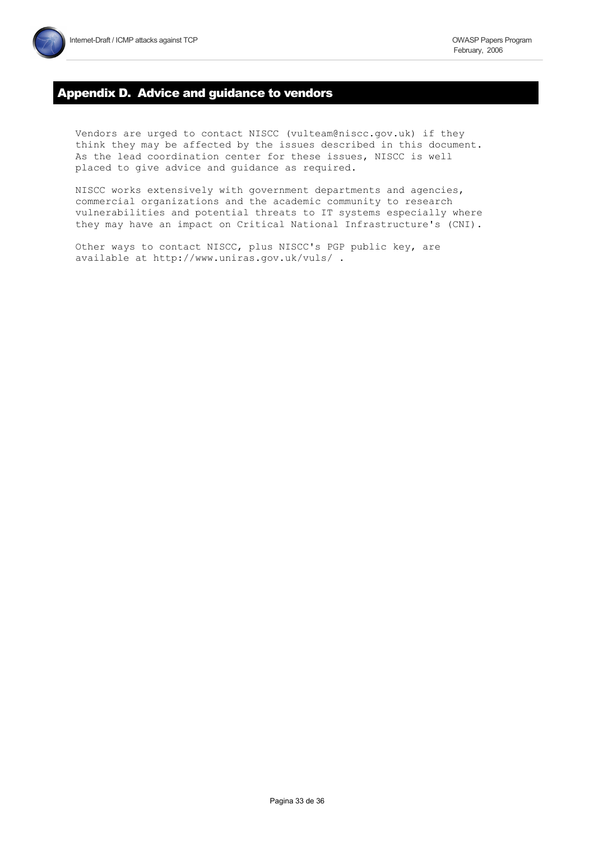# **Appendix D. Advice and guidance to vendors**

Vendors are urged to contact NISCC (vulteam@niscc.gov.uk) if they think they may be affected by the issues described in this document. As the lead coordination center for these issues, NISCC is well placed to give advice and guidance as required.

NISCC works extensively with government departments and agencies, commercial organizations and the academic community to research vulnerabilities and potential threats to IT systems especially where they may have an impact on Critical National Infrastructure's (CNI).

Other ways to contact NISCC, plus NISCC's PGP public key, are available at http://www.uniras.gov.uk/vuls/.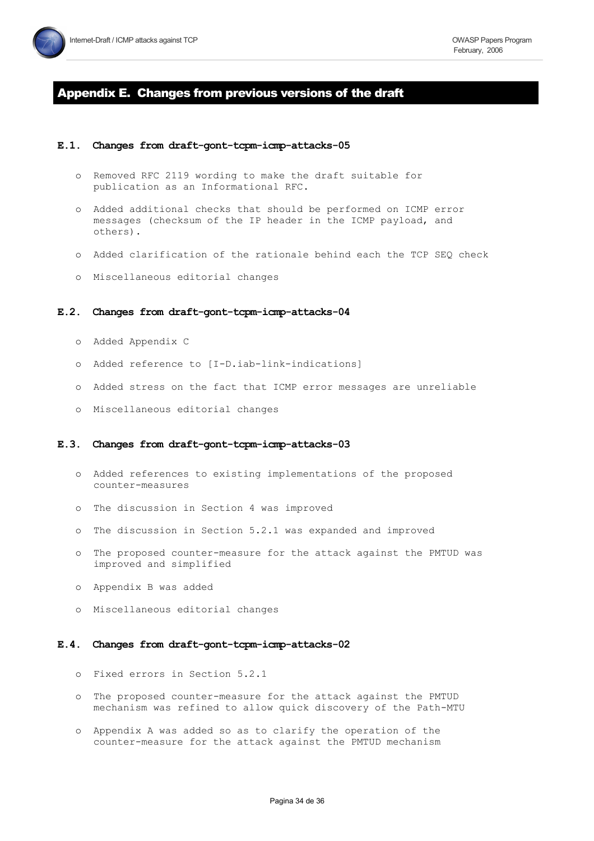

# Appendix E. Changes from previous versions of the draft

#### E.1. Changes from draft-gont-tcpm-icmp-attacks-05

- o Removed RFC 2119 wording to make the draft suitable for publication as an Informational RFC.
- o Added additional checks that should be performed on ICMP error messages (checksum of the IP header in the ICMP payload, and others).
- o Added clarification of the rationale behind each the TCP SEQ check
- o Miscellaneous editorial changes

#### E.2. Changes from draft-gont-tcpm-icmp-attacks-04

- o Added Appendix C
- o Added reference to [I-D.iab-link-indications]
- o Added stress on the fact that ICMP error messages are unreliable
- o Miscellaneous editorial changes

#### E.3. Changes from draft-gont-tcpm-icmp-attacks-03

- o Added references to existing implementations of the proposed counter-measures
- o The discussion in Section 4 was improved
- o The discussion in Section 5.2.1 was expanded and improved
- o The proposed counter-measure for the attack against the PMTUD was improved and simplified
- o Appendix B was added
- o Miscellaneous editorial changes

#### E.4. Changes from draft-gont-tcpm-icmp-attacks-02

- o Fixed errors in Section 5.2.1
- o The proposed counter-measure for the attack against the PMTUD mechanism was refined to allow quick discovery of the Path-MTU
- o Appendix A was added so as to clarify the operation of the counter-measure for the attack against the PMTUD mechanism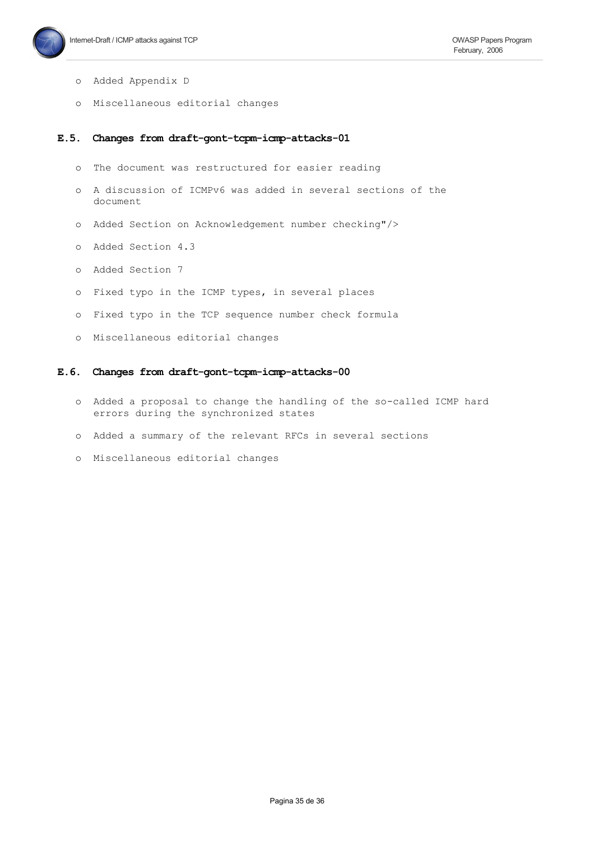

- o Added Appendix D
- o Miscellaneous editorial changes

#### E.5. Changes from draft-gont-tcpm-icmp-attacks-01

- o The document was restructured for easier reading
- o A discussion of ICMPv6 was added in several sections of the document
- o Added Section on Acknowledgement number checking"/>
- o Added Section 4.3
- o Added Section 7
- o Fixed typo in the ICMP types, in several places
- o Fixed typo in the TCP sequence number check formula
- o Miscellaneous editorial changes

#### Changes from draft-gont-tcpm-icmp-attacks-00  $E.6.$

- o Added a proposal to change the handling of the so-called ICMP hard errors during the synchronized states
- o Added a summary of the relevant RFCs in several sections
- o Miscellaneous editorial changes